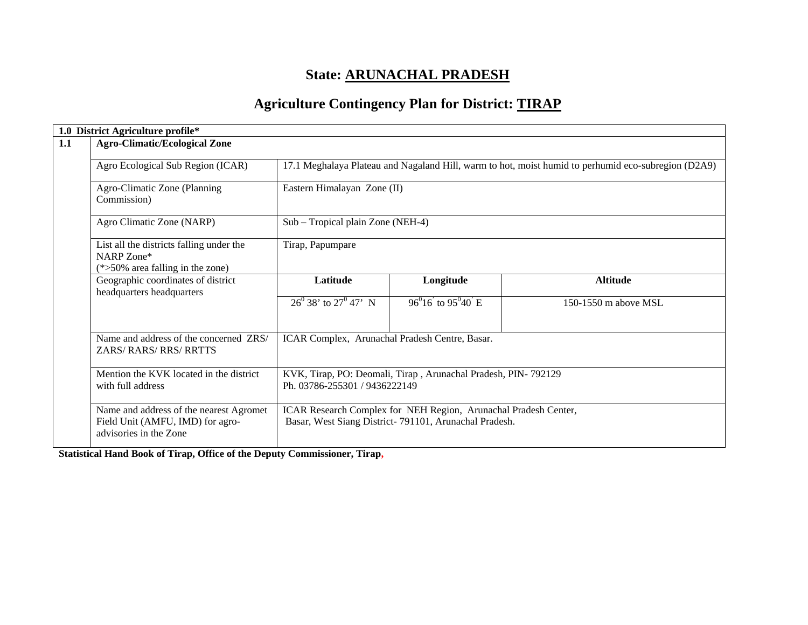# **State: ARUNACHAL PRADESH**

# **Agriculture Contingency Plan for District: TIRAP**

|     | 1.0 District Agriculture profile*                                                                     |                                                                                                                                                                                             |                                                                                                                          |                      |  |  |
|-----|-------------------------------------------------------------------------------------------------------|---------------------------------------------------------------------------------------------------------------------------------------------------------------------------------------------|--------------------------------------------------------------------------------------------------------------------------|----------------------|--|--|
| 1.1 | <b>Agro-Climatic/Ecological Zone</b>                                                                  |                                                                                                                                                                                             |                                                                                                                          |                      |  |  |
|     | Agro Ecological Sub Region (ICAR)                                                                     | 17.1 Meghalaya Plateau and Nagaland Hill, warm to hot, moist humid to perhumid eco-subregion (D2A9)<br>Eastern Himalayan Zone (II)<br>Sub – Tropical plain Zone (NEH-4)<br>Tirap, Papumpare |                                                                                                                          |                      |  |  |
|     | Agro-Climatic Zone (Planning<br>Commission)                                                           |                                                                                                                                                                                             |                                                                                                                          |                      |  |  |
|     | Agro Climatic Zone (NARP)                                                                             |                                                                                                                                                                                             |                                                                                                                          |                      |  |  |
|     | List all the districts falling under the<br>NARP Zone*<br>$(*>50\%$ area falling in the zone)         |                                                                                                                                                                                             |                                                                                                                          |                      |  |  |
|     | Geographic coordinates of district<br>headquarters headquarters                                       | Latitude                                                                                                                                                                                    | Longitude                                                                                                                | <b>Altitude</b>      |  |  |
|     |                                                                                                       | $26^{\overline{0}}38'$ to $27^{\overline{0}}47'$ N                                                                                                                                          | $96^{\circ}16$ to $95^{\circ}40$ E                                                                                       | 150-1550 m above MSL |  |  |
|     | Name and address of the concerned ZRS/<br>ZARS/RARS/RRS/RRTTS                                         | ICAR Complex, Arunachal Pradesh Centre, Basar.                                                                                                                                              |                                                                                                                          |                      |  |  |
|     | Mention the KVK located in the district<br>with full address                                          | KVK, Tirap, PO: Deomali, Tirap, Arunachal Pradesh, PIN-792129<br>Ph. 03786-255301 / 9436222149                                                                                              |                                                                                                                          |                      |  |  |
|     | Name and address of the nearest Agromet<br>Field Unit (AMFU, IMD) for agro-<br>advisories in the Zone |                                                                                                                                                                                             | ICAR Research Complex for NEH Region, Arunachal Pradesh Center,<br>Basar, West Siang District-791101, Arunachal Pradesh. |                      |  |  |

**Statistical Hand Book of Tirap, Office of the Deputy Commissioner, Tirap,**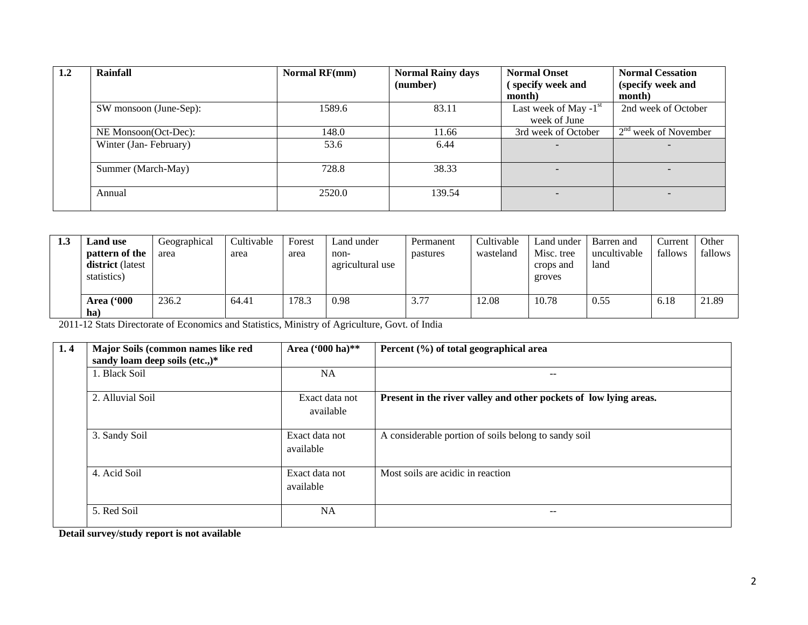| 1.2 | Rainfall               | Normal RF(mm) | <b>Normal Rainy days</b> | <b>Normal Onset</b>      | <b>Normal Cessation</b> |
|-----|------------------------|---------------|--------------------------|--------------------------|-------------------------|
|     |                        |               | (number)                 | (specify week and        | (specify week and       |
|     |                        |               |                          | month)                   | month)                  |
|     | SW monsoon (June-Sep): | 1589.6        | 83.11                    | Last week of May $-1st$  | 2nd week of October     |
|     |                        |               |                          | week of June             |                         |
|     | NE Monsoon(Oct-Dec):   | 148.0         | 11.66                    | 3rd week of October      | $2nd$ week of November  |
|     | Winter (Jan-February)  | 53.6          | 6.44                     | $\overline{\phantom{0}}$ |                         |
|     |                        |               |                          |                          |                         |
|     | Summer (March-May)     | 728.8         | 38.33                    | $\overline{\phantom{0}}$ |                         |
|     |                        |               |                          |                          |                         |
|     | Annual                 | 2520.0        | 139.54                   |                          |                         |
|     |                        |               |                          |                          |                         |

| 1.3 | <b>Land use</b><br>pattern of the<br><b>district</b> (latest<br>statistics) | Geographical<br>area | Cultivable<br>area | Forest<br>area | Land under<br>non-<br>agricultural use | Permanent<br>pastures | Cultivable<br>wasteland | Land under<br>Misc. tree<br>crops and<br>groves | Barren and<br>uncultivable<br>land | Current<br>fallows | Other<br>fallows |
|-----|-----------------------------------------------------------------------------|----------------------|--------------------|----------------|----------------------------------------|-----------------------|-------------------------|-------------------------------------------------|------------------------------------|--------------------|------------------|
|     | <b>Area</b> ('000<br>ha)                                                    | 236.2                | 64.41              | 178.3          | 0.98                                   | 3.77                  | 12.08                   | 10.78                                           | 0.55                               | 6.18               | 21.89            |

2011-12 Stats Directorate of Economics and Statistics, Ministry of Agriculture, Govt. of India

| 1.4 | Major Soils (common names like red<br>sandy loam deep soils (etc.,)* | Area ('000 ha)**            | Percent (%) of total geographical area                            |
|-----|----------------------------------------------------------------------|-----------------------------|-------------------------------------------------------------------|
|     | 1. Black Soil                                                        | <b>NA</b>                   | --                                                                |
|     | 2. Alluvial Soil                                                     | Exact data not<br>available | Present in the river valley and other pockets of low lying areas. |
|     | 3. Sandy Soil                                                        | Exact data not<br>available | A considerable portion of soils belong to sandy soil              |
|     | 4. Acid Soil                                                         | Exact data not<br>available | Most soils are acidic in reaction                                 |
|     | 5. Red Soil                                                          | <b>NA</b>                   | --                                                                |

**Detail survey/study report is not available**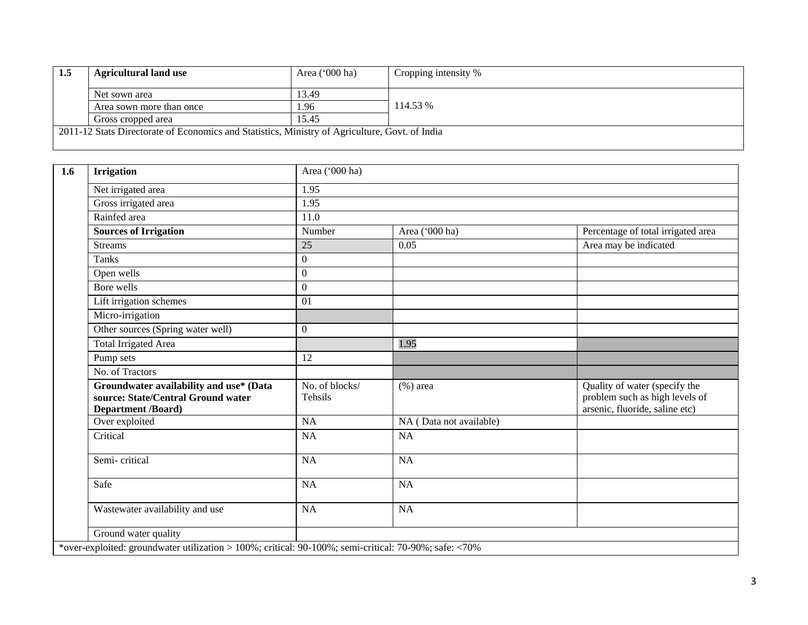| 1.5 | <b>Agricultural land use</b>                                                                   | Area $('000 ha)$ | Cropping intensity % |
|-----|------------------------------------------------------------------------------------------------|------------------|----------------------|
|     | Net sown area                                                                                  | 13.49            |                      |
|     | Area sown more than once                                                                       | 1.96             | 114.53 %             |
|     | Gross cropped area                                                                             | 15.45            |                      |
|     | 2011-12 Stats Directorate of Economics and Statistics, Ministry of Agriculture, Govt. of India |                  |                      |

| $\overline{1.6}$ | <b>Irrigation</b>                                                                                     | Area ('000 ha)            |                         |                                                                                                   |  |  |  |
|------------------|-------------------------------------------------------------------------------------------------------|---------------------------|-------------------------|---------------------------------------------------------------------------------------------------|--|--|--|
|                  | Net irrigated area                                                                                    | 1.95                      |                         |                                                                                                   |  |  |  |
|                  | Gross irrigated area                                                                                  | 1.95                      |                         |                                                                                                   |  |  |  |
|                  | Rainfed area                                                                                          | 11.0                      |                         |                                                                                                   |  |  |  |
|                  | <b>Sources of Irrigation</b>                                                                          | Number                    | Area ('000 ha)          | Percentage of total irrigated area                                                                |  |  |  |
|                  | <b>Streams</b>                                                                                        | 25                        | 0.05                    | Area may be indicated                                                                             |  |  |  |
|                  | <b>Tanks</b>                                                                                          | $\boldsymbol{0}$          |                         |                                                                                                   |  |  |  |
|                  | Open wells                                                                                            | $\boldsymbol{0}$          |                         |                                                                                                   |  |  |  |
|                  | Bore wells                                                                                            | $\overline{0}$            |                         |                                                                                                   |  |  |  |
|                  | Lift irrigation schemes                                                                               | 01                        |                         |                                                                                                   |  |  |  |
|                  | Micro-irrigation                                                                                      |                           |                         |                                                                                                   |  |  |  |
|                  | Other sources (Spring water well)                                                                     | $\boldsymbol{0}$          |                         |                                                                                                   |  |  |  |
|                  | <b>Total Irrigated Area</b>                                                                           |                           | 1.95                    |                                                                                                   |  |  |  |
|                  | Pump sets                                                                                             | 12                        |                         |                                                                                                   |  |  |  |
|                  | No. of Tractors                                                                                       |                           |                         |                                                                                                   |  |  |  |
|                  | Groundwater availability and use* (Data<br>source: State/Central Ground water<br>Department /Board)   | No. of blocks/<br>Tehsils | $(\%)$ area             | Quality of water (specify the<br>problem such as high levels of<br>arsenic, fluoride, saline etc) |  |  |  |
|                  | Over exploited                                                                                        | <b>NA</b>                 | NA (Data not available) |                                                                                                   |  |  |  |
|                  | Critical                                                                                              | <b>NA</b>                 | <b>NA</b>               |                                                                                                   |  |  |  |
|                  | Semi-critical                                                                                         | <b>NA</b>                 | <b>NA</b>               |                                                                                                   |  |  |  |
|                  | Safe                                                                                                  | <b>NA</b>                 | <b>NA</b>               |                                                                                                   |  |  |  |
|                  | Wastewater availability and use                                                                       | <b>NA</b>                 | <b>NA</b>               |                                                                                                   |  |  |  |
|                  | Ground water quality                                                                                  |                           |                         |                                                                                                   |  |  |  |
|                  | *over-exploited: groundwater utilization > 100%; critical: 90-100%; semi-critical: 70-90%; safe: <70% |                           |                         |                                                                                                   |  |  |  |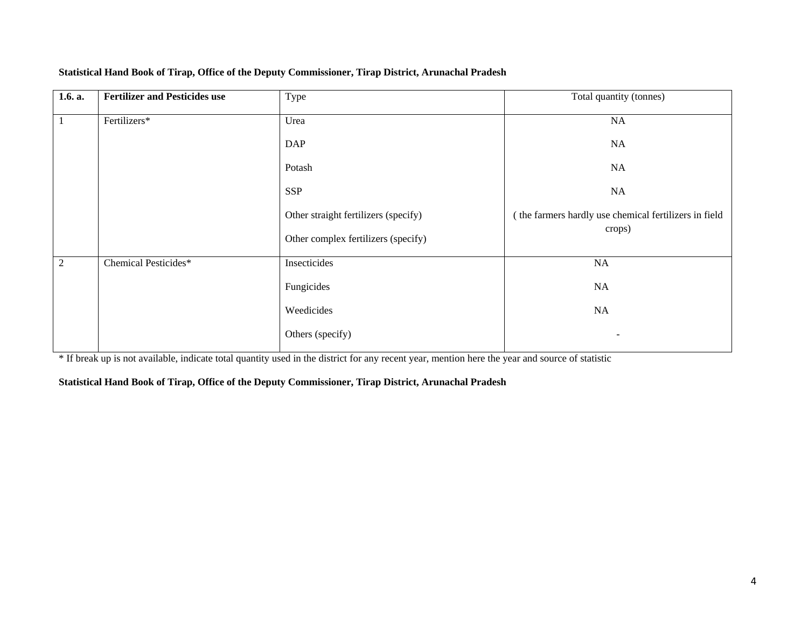| 1.6. a.        | <b>Fertilizer and Pesticides use</b> | Type                                 | Total quantity (tonnes)                               |
|----------------|--------------------------------------|--------------------------------------|-------------------------------------------------------|
| $\mathbf{1}$   | Fertilizers*                         | Urea                                 | <b>NA</b>                                             |
|                |                                      | <b>DAP</b>                           | <b>NA</b>                                             |
|                |                                      | Potash                               | <b>NA</b>                                             |
|                |                                      | <b>SSP</b>                           | <b>NA</b>                                             |
|                |                                      | Other straight fertilizers (specify) | (the farmers hardly use chemical fertilizers in field |
|                |                                      | Other complex fertilizers (specify)  | crops)                                                |
| $\overline{2}$ | Chemical Pesticides*                 | Insecticides                         | NA                                                    |
|                |                                      | Fungicides                           | NA                                                    |
|                |                                      | Weedicides                           | NA                                                    |
|                |                                      | Others (specify)                     |                                                       |

#### **Statistical Hand Book of Tirap, Office of the Deputy Commissioner, Tirap District, Arunachal Pradesh**

\* If break up is not available, indicate total quantity used in the district for any recent year, mention here the year and source of statistic

#### **Statistical Hand Book of Tirap, Office of the Deputy Commissioner, Tirap District, Arunachal Pradesh**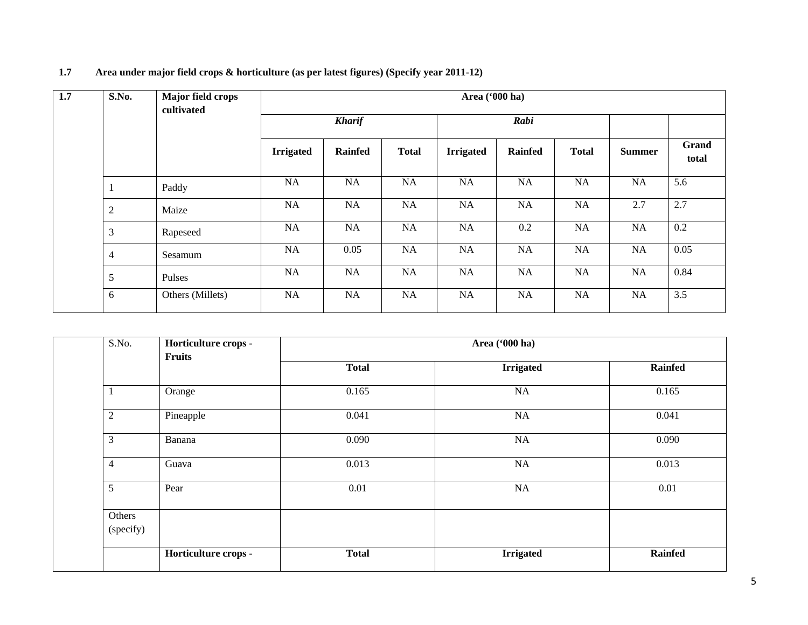| 1.7 | S.No.          | Major field crops<br>cultivated | Area ('000 ha)   |                |              |                  |                |              |               |                |
|-----|----------------|---------------------------------|------------------|----------------|--------------|------------------|----------------|--------------|---------------|----------------|
|     |                |                                 | <b>Kharif</b>    |                | Rabi         |                  |                |              |               |                |
|     |                |                                 | <b>Irrigated</b> | <b>Rainfed</b> | <b>Total</b> | <b>Irrigated</b> | <b>Rainfed</b> | <b>Total</b> | <b>Summer</b> | Grand<br>total |
|     |                | Paddy                           | <b>NA</b>        | NA             | NA           | NA               | NA             | <b>NA</b>    | NA            | 5.6            |
|     | $\sqrt{2}$     | Maize                           | NA               | <b>NA</b>      | NA           | NA               | NA             | NA           | 2.7           | 2.7            |
|     | 3              | Rapeseed                        | <b>NA</b>        | NA             | NA           | NA               | 0.2            | NA           | NA            | 0.2            |
|     | $\overline{4}$ | Sesamum                         | <b>NA</b>        | 0.05           | NA           | NA               | NA             | <b>NA</b>    | NA            | 0.05           |
|     | 5              | Pulses                          | NA               | NA             | NA           | NA               | NA             | NA           | NA            | 0.84           |
|     | 6              | Others (Millets)                | NA               | NA             | NA           | NA               | NA             | NA           | NA            | 3.5            |

## **1.7 Area under major field crops & horticulture (as per latest figures) (Specify year 2011-12)**

| S.No.               | Horticulture crops - |              | Area ('000 ha)   |                |
|---------------------|----------------------|--------------|------------------|----------------|
|                     | Fruits               | <b>Total</b> | <b>Irrigated</b> | <b>Rainfed</b> |
|                     | Orange               | 0.165        | NA               | 0.165          |
| $\overline{2}$      | Pineapple            | 0.041        | NA               | 0.041          |
| 3                   | Banana               | 0.090        | NA               | 0.090          |
| 4                   | Guava                | 0.013        | NA               | 0.013          |
| $5\overline{)}$     | Pear                 | 0.01         | NA               | 0.01           |
| Others<br>(specify) |                      |              |                  |                |
|                     | Horticulture crops - | <b>Total</b> | <b>Irrigated</b> | <b>Rainfed</b> |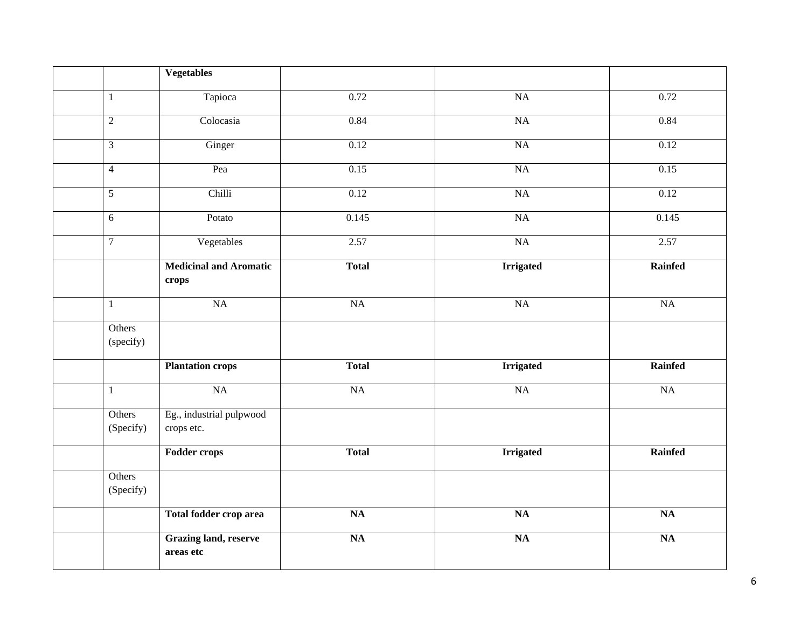|                     | <b>Vegetables</b>                         |                 |                  |                 |
|---------------------|-------------------------------------------|-----------------|------------------|-----------------|
| 1                   | Tapioca                                   | 0.72            | NA               | 0.72            |
| $\sqrt{2}$          | Colocasia                                 | 0.84            | NA               | 0.84            |
| $\overline{3}$      | Ginger                                    | 0.12            | NA               | 0.12            |
| $\overline{4}$      | Pea                                       | 0.15            | <b>NA</b>        | 0.15            |
| $\overline{5}$      | Chilli                                    | 0.12            | NA               | 0.12            |
| $\overline{6}$      | Potato                                    | 0.145           | <b>NA</b>        | 0.145           |
| $\boldsymbol{7}$    | Vegetables                                | 2.57            | NA               | 2.57            |
|                     | <b>Medicinal and Aromatic</b><br>crops    | <b>Total</b>    | <b>Irrigated</b> | Rainfed         |
| $\mathbf{1}$        | NA                                        | NA              | <b>NA</b>        | NA              |
| Others<br>(specify) |                                           |                 |                  |                 |
|                     | <b>Plantation crops</b>                   | <b>Total</b>    | <b>Irrigated</b> | Rainfed         |
| $\mathbf{1}$        | NA                                        | NA              | NA               | <b>NA</b>       |
| Others<br>(Specify) | Eg., industrial pulpwood<br>crops etc.    |                 |                  |                 |
|                     | <b>Fodder crops</b>                       | <b>Total</b>    | <b>Irrigated</b> | Rainfed         |
| Others<br>(Specify) |                                           |                 |                  |                 |
|                     | Total fodder crop area                    | $\overline{NA}$ | $\overline{NA}$  | $\overline{NA}$ |
|                     | <b>Grazing land, reserve</b><br>areas etc | $\overline{NA}$ | <b>NA</b>        | $\overline{NA}$ |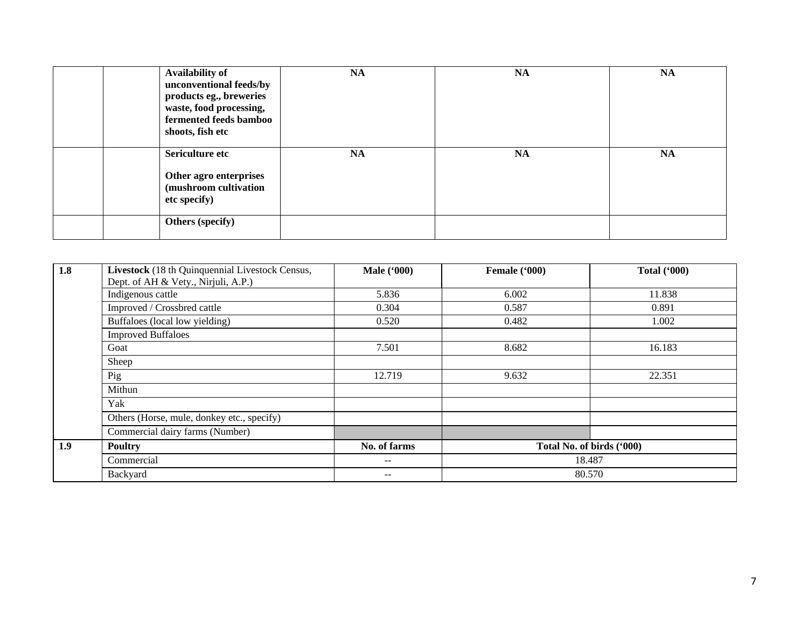| Availability of<br>unconventional feeds/by<br>products eg., breweries<br>waste, food processing,<br>fermented feeds bamboo<br>shoots, fish etc | NA | <b>NA</b> | <b>NA</b> |
|------------------------------------------------------------------------------------------------------------------------------------------------|----|-----------|-----------|
| Sericulture etc<br>Other agro enterprises<br>(mushroom cultivation<br>etc specify)                                                             | NA | NA        | <b>NA</b> |
| Others (specify)                                                                                                                               |    |           |           |

| 1.8 | Livestock (18 th Quinquennial Livestock Census, | <b>Male</b> ('000)       | Female ('000)             | <b>Total ('000)</b> |
|-----|-------------------------------------------------|--------------------------|---------------------------|---------------------|
|     | Dept. of AH & Vety., Nirjuli, A.P.)             |                          |                           |                     |
|     | Indigenous cattle                               | 5.836                    | 6.002                     | 11.838              |
|     | Improved / Crossbred cattle                     | 0.304                    | 0.587                     | 0.891               |
|     | Buffaloes (local low yielding)                  | 0.520                    | 0.482                     | 1.002               |
|     | <b>Improved Buffaloes</b>                       |                          |                           |                     |
|     | Goat                                            | 7.501                    | 8.682                     | 16.183              |
|     | Sheep                                           |                          |                           |                     |
|     | Pig                                             | 12.719                   | 9.632                     | 22.351              |
|     | Mithun                                          |                          |                           |                     |
|     | Yak                                             |                          |                           |                     |
|     | Others (Horse, mule, donkey etc., specify)      |                          |                           |                     |
|     | Commercial dairy farms (Number)                 |                          |                           |                     |
| 1.9 | <b>Poultry</b>                                  | No. of farms             | Total No. of birds ('000) |                     |
|     | Commercial                                      | $\qquad \qquad -$        | 18.487                    |                     |
|     | Backyard                                        | $\overline{\phantom{m}}$ | 80.570                    |                     |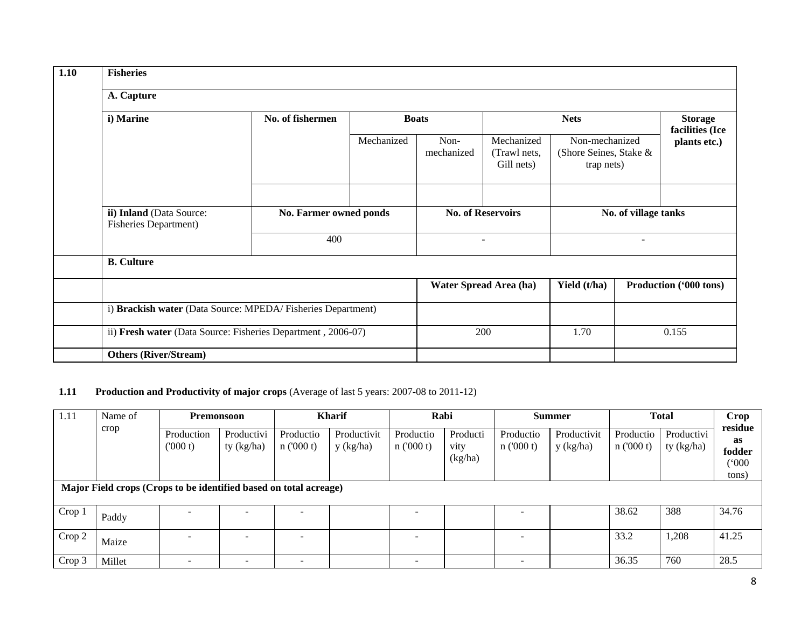| 1.10 | <b>Fisheries</b>                                             |                        |              |                    |                                          |                                                        |       |                                   |  |
|------|--------------------------------------------------------------|------------------------|--------------|--------------------|------------------------------------------|--------------------------------------------------------|-------|-----------------------------------|--|
|      | A. Capture                                                   |                        |              |                    |                                          |                                                        |       |                                   |  |
|      | i) Marine                                                    | No. of fishermen       | <b>Boats</b> |                    |                                          | <b>Nets</b>                                            |       | <b>Storage</b><br>facilities (Ice |  |
|      |                                                              |                        | Mechanized   | Non-<br>mechanized | Mechanized<br>(Trawl nets,<br>Gill nets) | Non-mechanized<br>(Shore Seines, Stake &<br>trap nets) |       | plants etc.)                      |  |
|      |                                                              |                        |              |                    |                                          |                                                        |       |                                   |  |
|      | ii) Inland (Data Source:<br><b>Fisheries Department)</b>     | No. Farmer owned ponds |              |                    | <b>No. of Reservoirs</b>                 | No. of village tanks<br>$\blacksquare$                 |       |                                   |  |
|      |                                                              | 400                    |              | $\blacksquare$     |                                          |                                                        |       |                                   |  |
|      | <b>B.</b> Culture                                            |                        |              |                    |                                          |                                                        |       |                                   |  |
|      |                                                              |                        |              |                    | Water Spread Area (ha)                   | Yield (t/ha)                                           |       | Production ('000 tons)            |  |
|      | i) Brackish water (Data Source: MPEDA/Fisheries Department)  |                        |              |                    |                                          |                                                        |       |                                   |  |
|      | ii) Fresh water (Data Source: Fisheries Department, 2006-07) |                        |              | 200                |                                          | 1.70                                                   | 0.155 |                                   |  |
|      | <b>Others (River/Stream)</b>                                 |                        |              |                    |                                          |                                                        |       |                                   |  |

# **1.11 Production and Productivity of major crops** (Average of last 5 years: 2007-08 to 2011-12)

| 1.11<br>Name of |                                                                   | Premonsoon            |                              | <b>Kharif</b>            |                          | Rabi                     |                             | <b>Summer</b>            |                          | <b>Total</b>          |                          | <b>Crop</b>                                                     |
|-----------------|-------------------------------------------------------------------|-----------------------|------------------------------|--------------------------|--------------------------|--------------------------|-----------------------------|--------------------------|--------------------------|-----------------------|--------------------------|-----------------------------------------------------------------|
|                 | crop                                                              | Production<br>(000 t) | Productivi<br>ty (kg/ha)     | Productio<br>n(000 t)    | Productivit<br>y (kg/ha) | Productio<br>n(000 t)    | Producti<br>vity<br>(kg/ha) | Productio<br>n(000 t)    | Productivit<br>y (kg/ha) | Productio<br>n(000 t) | Productivi<br>ty (kg/ha) | residue<br><b>as</b><br>fodder<br>$^{\prime\prime}000$<br>tons) |
|                 | Major Field crops (Crops to be identified based on total acreage) |                       |                              |                          |                          |                          |                             |                          |                          |                       |                          |                                                                 |
| Crop 1          | Paddy                                                             | -                     | $\qquad \qquad \blacksquare$ |                          |                          |                          |                             | $\overline{\phantom{0}}$ |                          | 38.62                 | 388                      | 34.76                                                           |
| Crop 2          | Maize                                                             | -                     | ۰                            | -                        |                          | $\overline{\phantom{0}}$ |                             | -                        |                          | 33.2                  | 1,208                    | 41.25                                                           |
| Crop 3          | Millet                                                            | ۰                     |                              | $\overline{\phantom{0}}$ |                          |                          |                             | -                        |                          | 36.35                 | 760                      | 28.5                                                            |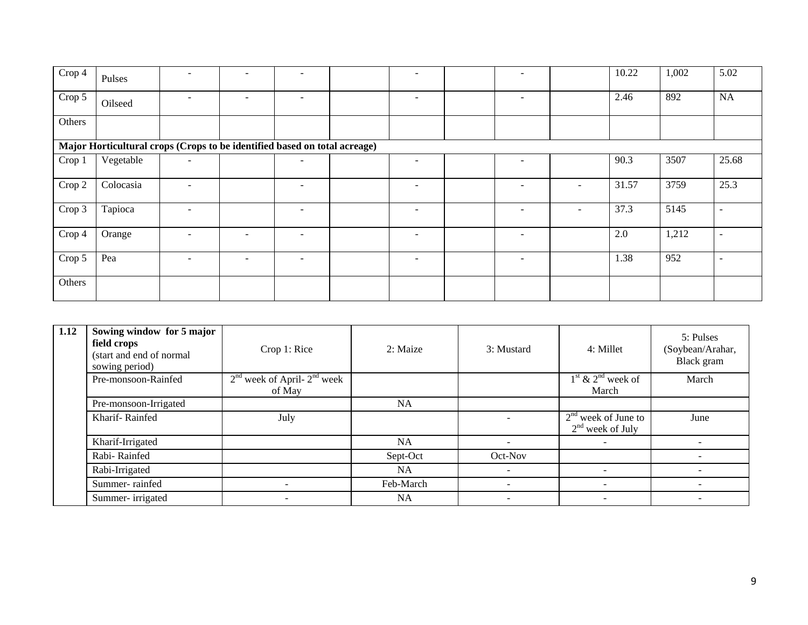| $\overline{\text{Crop}}$ 4                                                | Pulses    |                          | $\overline{\phantom{a}}$ | $\overline{\phantom{0}}$ |  | $\qquad \qquad \blacksquare$ |  | ۰                        |                   | 10.22 | 1,002 | 5.02                     |
|---------------------------------------------------------------------------|-----------|--------------------------|--------------------------|--------------------------|--|------------------------------|--|--------------------------|-------------------|-------|-------|--------------------------|
| $\overline{C}$ rop 5                                                      | Oilseed   |                          | $\overline{\phantom{0}}$ | $\overline{\phantom{0}}$ |  | -                            |  | $\overline{\phantom{a}}$ |                   | 2.46  | 892   | NA                       |
| Others                                                                    |           |                          |                          |                          |  |                              |  |                          |                   |       |       |                          |
| Major Horticultural crops (Crops to be identified based on total acreage) |           |                          |                          |                          |  |                              |  |                          |                   |       |       |                          |
| Crop 1                                                                    | Vegetable | $\overline{\phantom{a}}$ |                          | ۰                        |  | $\overline{\phantom{0}}$     |  | ۰                        |                   | 90.3  | 3507  | 25.68                    |
| Crop 2                                                                    | Colocasia |                          |                          | $\overline{\phantom{0}}$ |  |                              |  |                          | $\qquad \qquad -$ | 31.57 | 3759  | 25.3                     |
| Crop 3                                                                    | Tapioca   |                          |                          | $\overline{\phantom{0}}$ |  |                              |  |                          | ۰                 | 37.3  | 5145  | $\overline{\phantom{a}}$ |
| Crop 4                                                                    | Orange    | $\overline{\phantom{0}}$ | $\overline{\phantom{a}}$ | ۰                        |  | $\qquad \qquad \blacksquare$ |  | ۰                        |                   | 2.0   | 1,212 | $\overline{\phantom{a}}$ |
| Crop 5                                                                    | Pea       |                          | $\overline{\phantom{a}}$ | ۰                        |  | $\qquad \qquad \blacksquare$ |  | ۰                        |                   | 1.38  | 952   | $\overline{\phantom{a}}$ |
| Others                                                                    |           |                          |                          |                          |  |                              |  |                          |                   |       |       |                          |

| 1.12 | Sowing window for 5 major<br>field crops<br>(start and end of normal<br>sowing period) | Crop 1: Rice                    | 2: Maize  | 3: Mustard               | 4: Millet                | 5: Pulses<br>(Soybean/Arahar,<br>Black gram |
|------|----------------------------------------------------------------------------------------|---------------------------------|-----------|--------------------------|--------------------------|---------------------------------------------|
|      | Pre-monsoon-Rainfed                                                                    | $2nd$ week of April- $2nd$ week |           |                          | $1st$ & $2nd$ week of    | March                                       |
|      |                                                                                        | of May                          |           |                          | March                    |                                             |
|      | Pre-monsoon-Irrigated                                                                  |                                 | <b>NA</b> |                          |                          |                                             |
|      | Kharif-Rainfed                                                                         | July                            |           |                          | $2nd$ week of June to    | June                                        |
|      |                                                                                        |                                 |           |                          | $2nd$ week of July       |                                             |
|      | Kharif-Irrigated                                                                       |                                 | <b>NA</b> | $\sim$                   | $\overline{\phantom{0}}$ |                                             |
|      | Rabi-Rainfed                                                                           |                                 | Sept-Oct  | Oct-Nov                  |                          |                                             |
|      | Rabi-Irrigated                                                                         |                                 | <b>NA</b> | $\overline{\phantom{0}}$ | $\overline{\phantom{a}}$ | -                                           |
|      | Summer-rainfed                                                                         |                                 | Feb-March |                          |                          | -                                           |
|      | Summer-irrigated                                                                       | -                               | <b>NA</b> | $\overline{\phantom{a}}$ | $\overline{\phantom{0}}$ | -                                           |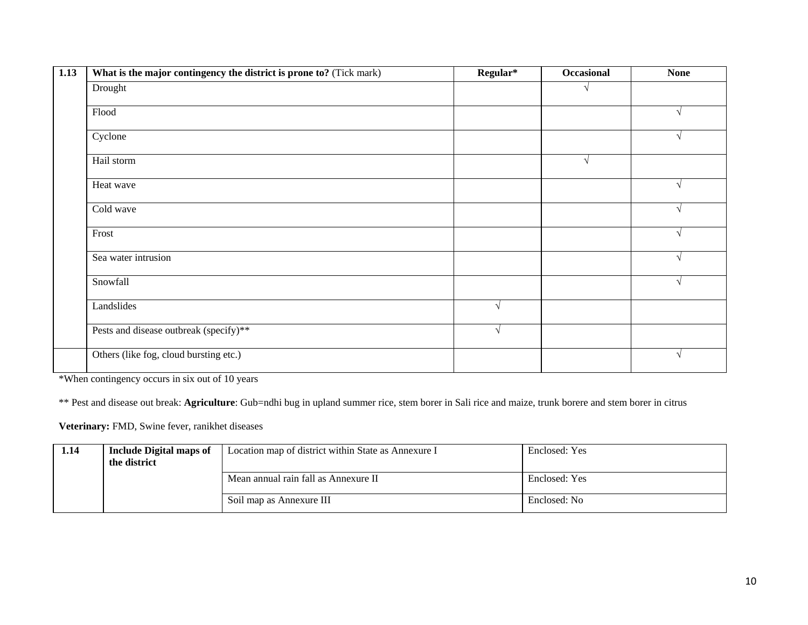| 1.13 | What is the major contingency the district is prone to? (Tick mark) | Regular*   | Occasional | <b>None</b> |
|------|---------------------------------------------------------------------|------------|------------|-------------|
|      | Drought                                                             |            | V          |             |
|      | Flood                                                               |            |            |             |
|      | Cyclone                                                             |            |            |             |
|      | Hail storm                                                          |            | $\sqrt{ }$ |             |
|      | Heat wave                                                           |            |            |             |
|      | Cold wave                                                           |            |            | $\sqrt{ }$  |
|      | Frost                                                               |            |            |             |
|      | Sea water intrusion                                                 |            |            |             |
|      | Snowfall                                                            |            |            | $\sqrt{ }$  |
|      | Landslides                                                          | $\sqrt{}$  |            |             |
|      | Pests and disease outbreak (specify)**                              | $\sqrt{ }$ |            |             |
|      | Others (like fog, cloud bursting etc.)                              |            |            | N           |

\*When contingency occurs in six out of 10 years

\*\* Pest and disease out break: **Agriculture**: Gub=ndhi bug in upland summer rice, stem borer in Sali rice and maize, trunk borere and stem borer in citrus

**Veterinary:** FMD, Swine fever, ranikhet diseases

| 1.14 | <b>Include Digital maps of</b><br>the district | Location map of district within State as Annexure I | Enclosed: Yes |
|------|------------------------------------------------|-----------------------------------------------------|---------------|
|      |                                                | Mean annual rain fall as Annexure II                | Enclosed: Yes |
|      |                                                | Soil map as Annexure III                            | Enclosed: No  |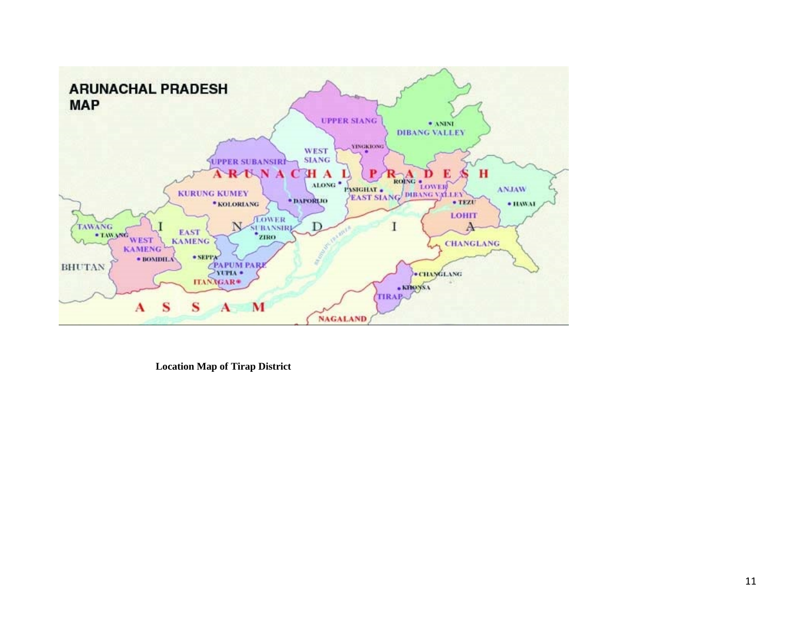

 **Location Map of Tirap District**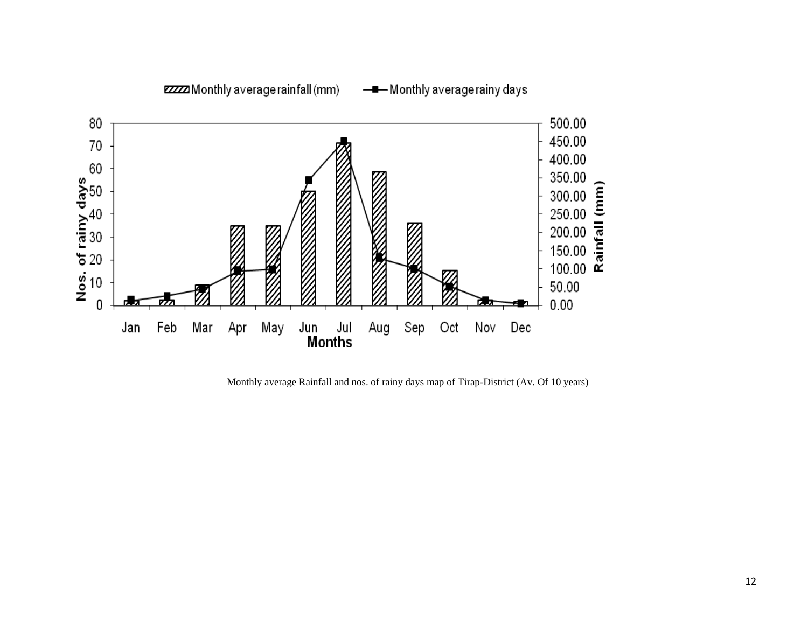

Monthly average Rainfall and nos. of rainy days map of Tirap-District (Av. Of 10 years)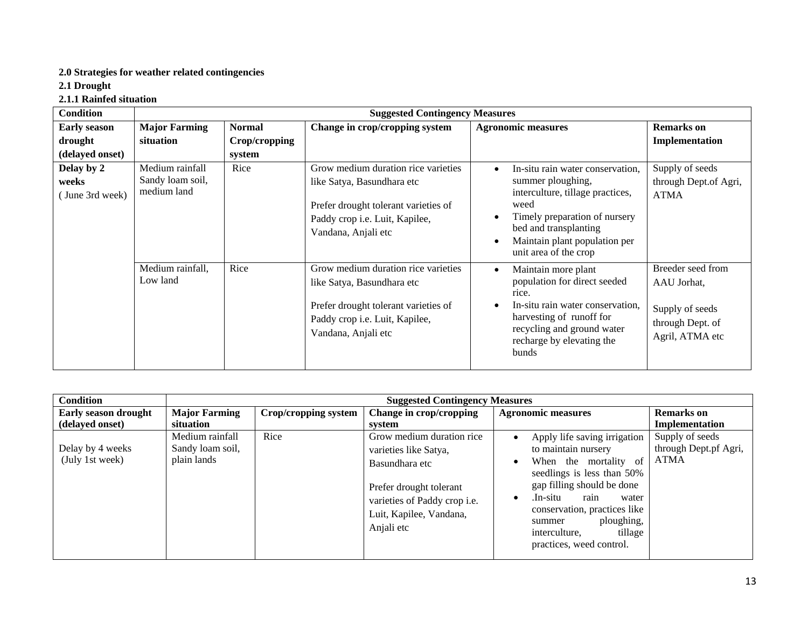## **2.0 Strategies for weather related contingencies**

**2.1 Drought**

**2.1.1 Rainfed situation**

| <b>Condition</b>                       |                                                    |               | <b>Suggested Contingency Measures</b>                                                                                                                              |                                                                                                                                                                                                                                                              |                                                                                            |
|----------------------------------------|----------------------------------------------------|---------------|--------------------------------------------------------------------------------------------------------------------------------------------------------------------|--------------------------------------------------------------------------------------------------------------------------------------------------------------------------------------------------------------------------------------------------------------|--------------------------------------------------------------------------------------------|
| <b>Early season</b>                    | <b>Major Farming</b>                               | <b>Normal</b> | Change in crop/cropping system                                                                                                                                     | <b>Agronomic measures</b>                                                                                                                                                                                                                                    | <b>Remarks</b> on                                                                          |
| drought                                | situation                                          | Crop/cropping |                                                                                                                                                                    |                                                                                                                                                                                                                                                              | Implementation                                                                             |
| (delayed onset)                        |                                                    | system        |                                                                                                                                                                    |                                                                                                                                                                                                                                                              |                                                                                            |
| Delay by 2<br>weeks<br>(June 3rd week) | Medium rainfall<br>Sandy loam soil,<br>medium land | Rice          | Grow medium duration rice varieties<br>like Satya, Basundhara etc<br>Prefer drought tolerant varieties of<br>Paddy crop i.e. Luit, Kapilee,<br>Vandana, Anjali etc | In-situ rain water conservation,<br>$\bullet$<br>summer ploughing,<br>interculture, tillage practices,<br>weed<br>Timely preparation of nursery<br>$\bullet$<br>bed and transplanting<br>Maintain plant population per<br>$\bullet$<br>unit area of the crop | Supply of seeds<br>through Dept.of Agri,<br><b>ATMA</b>                                    |
|                                        | Medium rainfall,<br>Low land                       | Rice          | Grow medium duration rice varieties<br>like Satya, Basundhara etc<br>Prefer drought tolerant varieties of<br>Paddy crop i.e. Luit, Kapilee,<br>Vandana, Anjali etc | Maintain more plant<br>$\bullet$<br>population for direct seeded<br>rice.<br>In-situ rain water conservation.<br>$\bullet$<br>harvesting of runoff for<br>recycling and ground water<br>recharge by elevating the<br>bunds                                   | Breeder seed from<br>AAU Jorhat,<br>Supply of seeds<br>through Dept. of<br>Agril, ATMA etc |

| <b>Condition</b>                    |                                                    | <b>Suggested Contingency Measures</b> |                                                                                                                                                                          |                                                                                                                                                                                                                                                                                                                      |                                                         |  |  |  |  |  |  |
|-------------------------------------|----------------------------------------------------|---------------------------------------|--------------------------------------------------------------------------------------------------------------------------------------------------------------------------|----------------------------------------------------------------------------------------------------------------------------------------------------------------------------------------------------------------------------------------------------------------------------------------------------------------------|---------------------------------------------------------|--|--|--|--|--|--|
| <b>Early season drought</b>         | <b>Major Farming</b>                               | Crop/cropping system                  | Change in crop/cropping                                                                                                                                                  | <b>Agronomic measures</b>                                                                                                                                                                                                                                                                                            | <b>Remarks</b> on                                       |  |  |  |  |  |  |
| (delayed onset)                     | situation                                          |                                       | system                                                                                                                                                                   |                                                                                                                                                                                                                                                                                                                      | Implementation                                          |  |  |  |  |  |  |
| Delay by 4 weeks<br>(July 1st week) | Medium rainfall<br>Sandy loam soil,<br>plain lands | Rice                                  | Grow medium duration rice<br>varieties like Satya,<br>Basundhara etc<br>Prefer drought tolerant<br>varieties of Paddy crop i.e.<br>Luit, Kapilee, Vandana,<br>Anjali etc | Apply life saving irrigation<br>$\bullet$<br>to maintain nursery<br>When the mortality of<br>$\bullet$<br>seedlings is less than 50%<br>gap filling should be done<br>.In-situ<br>rain<br>water<br>٠<br>conservation, practices like<br>ploughing,<br>summer<br>tillage<br>interculture,<br>practices, weed control. | Supply of seeds<br>through Dept.pf Agri,<br><b>ATMA</b> |  |  |  |  |  |  |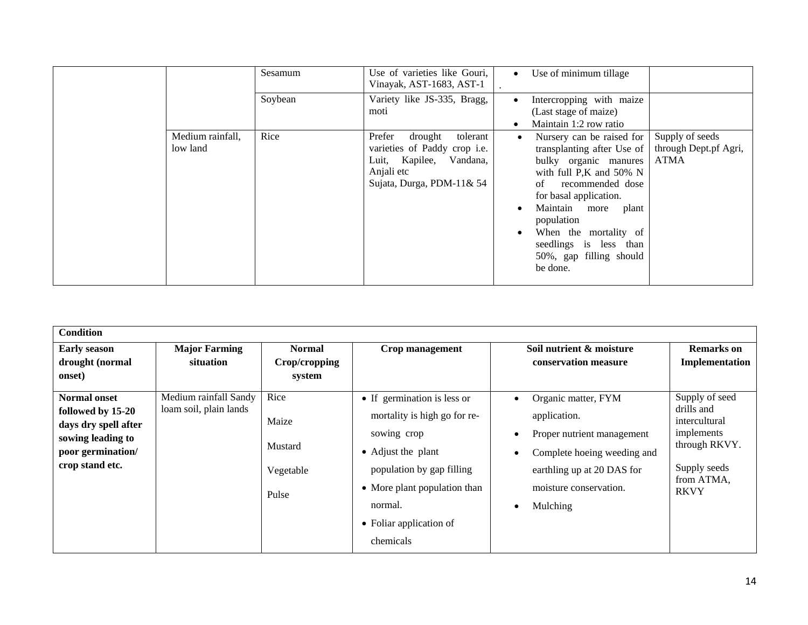|                              | Sesamum | Use of varieties like Gouri,<br>Vinayak, AST-1683, AST-1                                                                            | Use of minimum tillage<br>$\bullet$                                                                                                                                                                                                                                                                                                                          |
|------------------------------|---------|-------------------------------------------------------------------------------------------------------------------------------------|--------------------------------------------------------------------------------------------------------------------------------------------------------------------------------------------------------------------------------------------------------------------------------------------------------------------------------------------------------------|
|                              | Soybean | Variety like JS-335, Bragg,<br>moti                                                                                                 | Intercropping with maize<br>$\bullet$<br>(Last stage of maize)<br>Maintain 1:2 row ratio<br>$\bullet$                                                                                                                                                                                                                                                        |
| Medium rainfall,<br>low land | Rice    | Prefer<br>drought<br>tolerant<br>varieties of Paddy crop i.e.<br>Luit, Kapilee, Vandana,<br>Anjali etc<br>Sujata, Durga, PDM-11& 54 | Supply of seeds<br>Nursery can be raised for<br>through Dept.pf Agri,<br>transplanting after Use of<br><b>ATMA</b><br>bulky organic manures<br>with full P,K and 50% N<br>recommended dose<br>of<br>for basal application.<br>Maintain more<br>plant<br>population<br>When the mortality of<br>seedlings is less than<br>50%, gap filling should<br>be done. |

| <b>Condition</b>                                                                                                              |                                                 |                                                |                                                                                                                                                                                                                  |                                                                                                                                                                                                     |                                                                                                                           |
|-------------------------------------------------------------------------------------------------------------------------------|-------------------------------------------------|------------------------------------------------|------------------------------------------------------------------------------------------------------------------------------------------------------------------------------------------------------------------|-----------------------------------------------------------------------------------------------------------------------------------------------------------------------------------------------------|---------------------------------------------------------------------------------------------------------------------------|
| <b>Early season</b><br>drought (normal<br>onset)                                                                              | <b>Major Farming</b><br>situation               | <b>Normal</b><br>Crop/cropping<br>system       | Crop management                                                                                                                                                                                                  | Soil nutrient & moisture<br>conservation measure                                                                                                                                                    | Remarks on<br>Implementation                                                                                              |
| <b>Normal onset</b><br>followed by 15-20<br>days dry spell after<br>sowing leading to<br>poor germination/<br>crop stand etc. | Medium rainfall Sandy<br>loam soil, plain lands | Rice<br>Maize<br>Mustard<br>Vegetable<br>Pulse | • If germination is less or<br>mortality is high go for re-<br>sowing crop<br>• Adjust the plant<br>population by gap filling<br>• More plant population than<br>normal.<br>• Foliar application of<br>chemicals | Organic matter, FYM<br>application.<br>Proper nutrient management<br>$\bullet$<br>Complete hoeing weeding and<br>٠<br>earthling up at 20 DAS for<br>moisture conservation.<br>Mulching<br>$\bullet$ | Supply of seed<br>drills and<br>intercultural<br>implements<br>through RKVY.<br>Supply seeds<br>from ATMA,<br><b>RKVY</b> |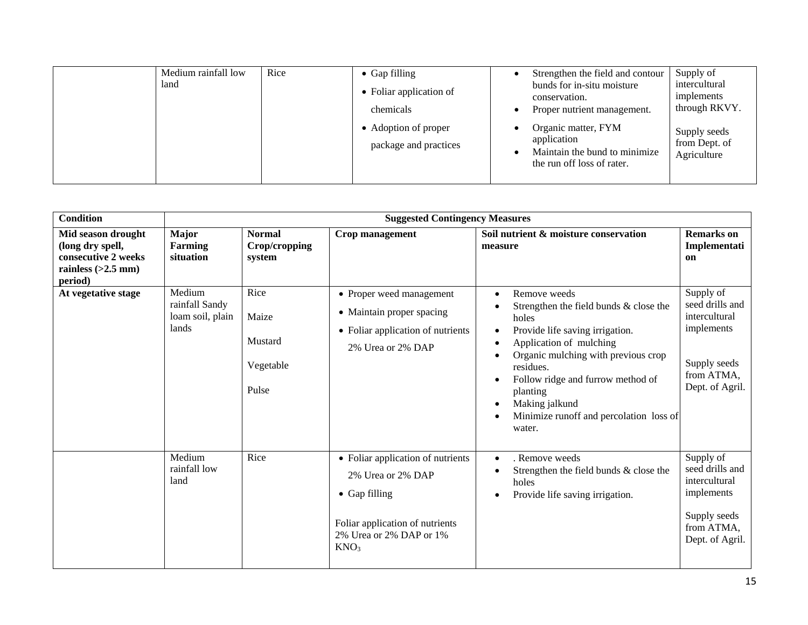| Medium rainfall low<br>land | Rice | $\bullet$ Gap filling<br>• Foliar application of<br>chemicals | Strengthen the field and contour<br>bunds for in-situ moisture<br>conservation.<br>Proper nutrient management. | Supply of<br>intercultural<br>implements<br>through RKVY. |
|-----------------------------|------|---------------------------------------------------------------|----------------------------------------------------------------------------------------------------------------|-----------------------------------------------------------|
|                             |      | • Adoption of proper<br>package and practices                 | Organic matter, FYM<br>application<br>Maintain the bund to minimize<br>the run off loss of rater.              | Supply seeds<br>from Dept. of<br>Agriculture              |

| <b>Condition</b>                                                                                 |                                                       |                                                | <b>Suggested Contingency Measures</b>                                                                                                                             |                                                                                                                                                                                                                                                                                                                                                                            |                                                                                                              |
|--------------------------------------------------------------------------------------------------|-------------------------------------------------------|------------------------------------------------|-------------------------------------------------------------------------------------------------------------------------------------------------------------------|----------------------------------------------------------------------------------------------------------------------------------------------------------------------------------------------------------------------------------------------------------------------------------------------------------------------------------------------------------------------------|--------------------------------------------------------------------------------------------------------------|
| Mid season drought<br>(long dry spell,<br>consecutive 2 weeks<br>rainless $(>2.5$ mm)<br>period) | <b>Major</b><br><b>Farming</b><br>situation           | <b>Normal</b><br>Crop/cropping<br>system       | Crop management                                                                                                                                                   | Soil nutrient & moisture conservation<br>measure                                                                                                                                                                                                                                                                                                                           | <b>Remarks</b> on<br>Implementati<br>on                                                                      |
| At vegetative stage                                                                              | Medium<br>rainfall Sandy<br>loam soil, plain<br>lands | Rice<br>Maize<br>Mustard<br>Vegetable<br>Pulse | • Proper weed management<br>• Maintain proper spacing<br>• Foliar application of nutrients<br>2% Urea or 2% DAP                                                   | Remove weeds<br>$\bullet$<br>Strengthen the field bunds & close the<br>holes<br>Provide life saving irrigation.<br>$\bullet$<br>Application of mulching<br>$\bullet$<br>Organic mulching with previous crop<br>residues.<br>Follow ridge and furrow method of<br>$\bullet$<br>planting<br>Making jalkund<br>$\bullet$<br>Minimize runoff and percolation loss of<br>water. | Supply of<br>seed drills and<br>intercultural<br>implements<br>Supply seeds<br>from ATMA,<br>Dept. of Agril. |
|                                                                                                  | Medium<br>rainfall low<br>land                        | Rice                                           | • Foliar application of nutrients<br>2% Urea or 2% DAP<br>$\bullet$ Gap filling<br>Foliar application of nutrients<br>2% Urea or 2% DAP or 1%<br>KNO <sub>3</sub> | . Remove weeds<br>$\bullet$<br>Strengthen the field bunds & close the<br>holes<br>Provide life saving irrigation.<br>$\bullet$                                                                                                                                                                                                                                             | Supply of<br>seed drills and<br>intercultural<br>implements<br>Supply seeds<br>from ATMA,<br>Dept. of Agril. |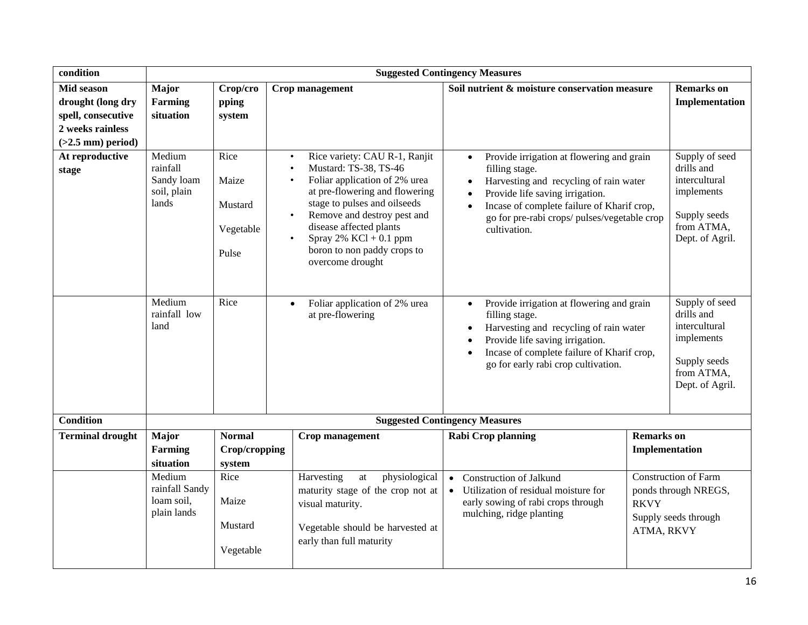| condition                                                                                               |                                                          |                                                |                                                                                                                                                                                                                                                                                                                                                                      | <b>Suggested Contingency Measures</b>                                                                                                                                                                                                                                                                      |                                     |                                                                                                              |
|---------------------------------------------------------------------------------------------------------|----------------------------------------------------------|------------------------------------------------|----------------------------------------------------------------------------------------------------------------------------------------------------------------------------------------------------------------------------------------------------------------------------------------------------------------------------------------------------------------------|------------------------------------------------------------------------------------------------------------------------------------------------------------------------------------------------------------------------------------------------------------------------------------------------------------|-------------------------------------|--------------------------------------------------------------------------------------------------------------|
| <b>Mid season</b><br>drought (long dry<br>spell, consecutive<br>2 weeks rainless<br>$(>2.5$ mm) period) | Major<br><b>Farming</b><br>situation                     | Crop/cro<br>pping<br>system                    | Crop management                                                                                                                                                                                                                                                                                                                                                      | Soil nutrient & moisture conservation measure                                                                                                                                                                                                                                                              |                                     | <b>Remarks</b> on<br>Implementation                                                                          |
| At reproductive<br>stage                                                                                | Medium<br>rainfall<br>Sandy loam<br>soil, plain<br>lands | Rice<br>Maize<br>Mustard<br>Vegetable<br>Pulse | Rice variety: CAU R-1, Ranjit<br>$\bullet$<br>Mustard: TS-38, TS-46<br>$\bullet$<br>Foliar application of 2% urea<br>$\bullet$<br>at pre-flowering and flowering<br>stage to pulses and oilseeds<br>Remove and destroy pest and<br>$\bullet$<br>disease affected plants<br>Spray $2\%$ KCl + 0.1 ppm<br>$\bullet$<br>boron to non paddy crops to<br>overcome drought | Provide irrigation at flowering and grain<br>$\bullet$<br>filling stage.<br>Harvesting and recycling of rain water<br>$\bullet$<br>Provide life saving irrigation.<br>$\bullet$<br>Incase of complete failure of Kharif crop,<br>$\bullet$<br>go for pre-rabi crops/ pulses/vegetable crop<br>cultivation. |                                     | Supply of seed<br>drills and<br>intercultural<br>implements<br>Supply seeds<br>from ATMA,<br>Dept. of Agril. |
|                                                                                                         | Medium<br>rainfall low<br>land                           | Rice                                           | Foliar application of 2% urea<br>$\bullet$<br>at pre-flowering                                                                                                                                                                                                                                                                                                       | Provide irrigation at flowering and grain<br>$\bullet$<br>filling stage.<br>Harvesting and recycling of rain water<br>$\bullet$<br>Provide life saving irrigation.<br>$\bullet$<br>Incase of complete failure of Kharif crop,<br>$\bullet$<br>go for early rabi crop cultivation.                          |                                     | Supply of seed<br>drills and<br>intercultural<br>implements<br>Supply seeds<br>from ATMA,<br>Dept. of Agril. |
| <b>Condition</b>                                                                                        |                                                          |                                                |                                                                                                                                                                                                                                                                                                                                                                      | <b>Suggested Contingency Measures</b>                                                                                                                                                                                                                                                                      |                                     |                                                                                                              |
| <b>Terminal drought</b>                                                                                 | Major<br><b>Farming</b><br>situation                     | <b>Normal</b><br>Crop/cropping<br>system       | Crop management                                                                                                                                                                                                                                                                                                                                                      | <b>Rabi Crop planning</b>                                                                                                                                                                                                                                                                                  | <b>Remarks</b> on<br>Implementation |                                                                                                              |
|                                                                                                         | Medium<br>rainfall Sandy<br>loam soil,<br>plain lands    | Rice<br>Maize<br>Mustard<br>Vegetable          | physiological<br>Harvesting<br>at<br>maturity stage of the crop not at<br>visual maturity.<br>Vegetable should be harvested at<br>early than full maturity                                                                                                                                                                                                           | <b>Construction of Jalkund</b><br>$\bullet$<br>Utilization of residual moisture for<br>$\bullet$<br>early sowing of rabi crops through<br><b>RKVY</b><br>mulching, ridge planting<br>ATMA, RKVY                                                                                                            |                                     | <b>Construction of Farm</b><br>ponds through NREGS,<br>Supply seeds through                                  |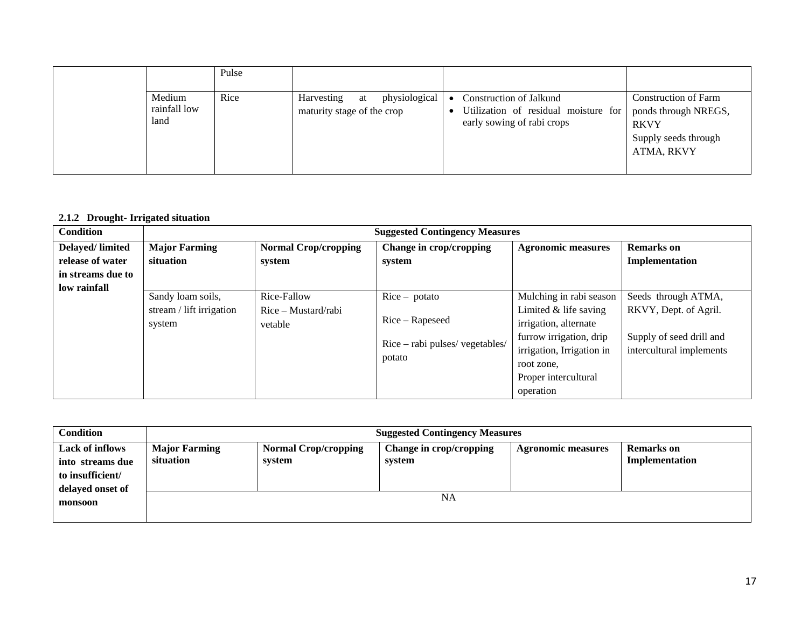|                                | Pulse |                                                                 |                                                                                                                      |                                                                                  |
|--------------------------------|-------|-----------------------------------------------------------------|----------------------------------------------------------------------------------------------------------------------|----------------------------------------------------------------------------------|
| Medium<br>rainfall low<br>land | Rice  | physiological<br>Harvesting<br>at<br>maturity stage of the crop | Construction of Jalkund<br>Utilization of residual moisture for   ponds through NREGS,<br>early sowing of rabi crops | <b>Construction of Farm</b><br><b>RKVY</b><br>Supply seeds through<br>ATMA, RKVY |

## **2.1.2 Drought- Irrigated situation**

| <b>Condition</b>       | <b>Suggested Contingency Measures</b> |                             |                                 |                           |                          |
|------------------------|---------------------------------------|-----------------------------|---------------------------------|---------------------------|--------------------------|
| <b>Delayed/limited</b> | <b>Major Farming</b>                  | <b>Normal Crop/cropping</b> | Change in crop/cropping         | <b>Agronomic measures</b> | <b>Remarks</b> on        |
| release of water       | situation                             | system                      | system                          |                           | Implementation           |
| in streams due to      |                                       |                             |                                 |                           |                          |
| low rainfall           |                                       |                             |                                 |                           |                          |
|                        | Sandy loam soils,                     | Rice-Fallow                 | $Rice - potato$                 | Mulching in rabi season   | Seeds through ATMA,      |
|                        | stream / lift irrigation              | Rice – Mustard/rabi         |                                 | Limited $&$ life saving   | RKVY, Dept. of Agril.    |
|                        | system                                | vetable                     | Rice – Rapeseed                 | irrigation, alternate     |                          |
|                        |                                       |                             | Rice - rabi pulses/ vegetables/ | furrow irrigation, drip   | Supply of seed drill and |
|                        |                                       |                             | potato                          | irrigation, Irrigation in | intercultural implements |
|                        |                                       |                             |                                 | root zone,                |                          |
|                        |                                       |                             |                                 | Proper intercultural      |                          |
|                        |                                       |                             |                                 | operation                 |                          |

| <b>Condition</b>                                                                   | <b>Suggested Contingency Measures</b> |                                       |                                   |                           |                                     |  |
|------------------------------------------------------------------------------------|---------------------------------------|---------------------------------------|-----------------------------------|---------------------------|-------------------------------------|--|
| <b>Lack of inflows</b><br>into streams due<br>to insufficient/<br>delayed onset of | <b>Major Farming</b><br>situation     | <b>Normal Crop/cropping</b><br>system | Change in crop/cropping<br>system | <b>Agronomic measures</b> | <b>Remarks</b> on<br>Implementation |  |
| monsoon                                                                            |                                       |                                       | NA                                |                           |                                     |  |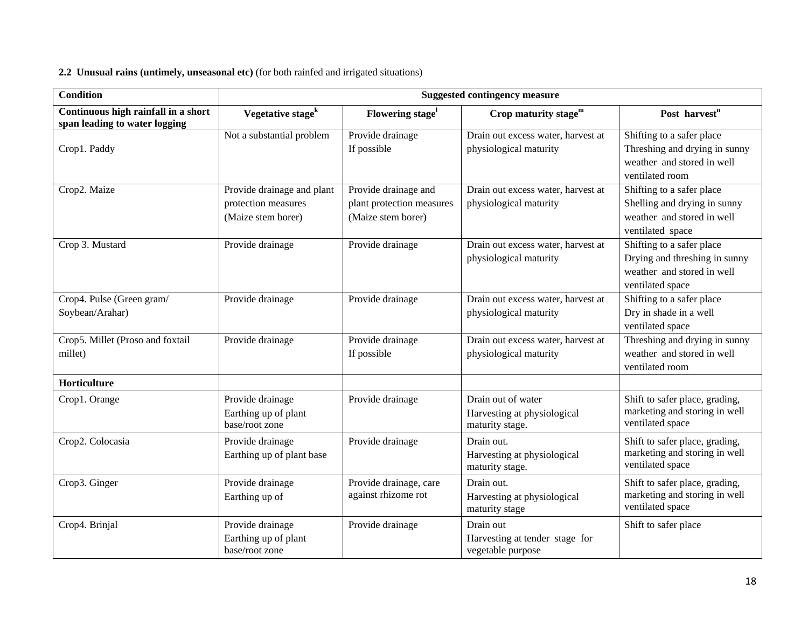#### **2.2 Unusual rains (untimely, unseasonal etc)** (for both rainfed and irrigated situations)

| <b>Condition</b>                                                     | <b>Suggested contingency measure</b>                                    |                                                                         |                                                                      |                                                                                                              |  |  |
|----------------------------------------------------------------------|-------------------------------------------------------------------------|-------------------------------------------------------------------------|----------------------------------------------------------------------|--------------------------------------------------------------------------------------------------------------|--|--|
| Continuous high rainfall in a short<br>span leading to water logging | Vegetative stage <sup>k</sup>                                           | Flowering stage <sup>1</sup>                                            | Crop maturity stage $m$                                              | Post harvest <sup>n</sup>                                                                                    |  |  |
| Crop1. Paddy                                                         | Not a substantial problem                                               | Provide drainage<br>If possible                                         | Drain out excess water, harvest at<br>physiological maturity         | Shifting to a safer place<br>Threshing and drying in sunny<br>weather and stored in well<br>ventilated room  |  |  |
| Crop2. Maize                                                         | Provide drainage and plant<br>protection measures<br>(Maize stem borer) | Provide drainage and<br>plant protection measures<br>(Maize stem borer) | Drain out excess water, harvest at<br>physiological maturity         | Shifting to a safer place<br>Shelling and drying in sunny<br>weather and stored in well<br>ventilated space  |  |  |
| Crop 3. Mustard                                                      | Provide drainage                                                        | Provide drainage                                                        | Drain out excess water, harvest at<br>physiological maturity         | Shifting to a safer place<br>Drying and threshing in sunny<br>weather and stored in well<br>ventilated space |  |  |
| Crop4. Pulse (Green gram/<br>Soybean/Arahar)                         | Provide drainage                                                        | Provide drainage                                                        | Drain out excess water, harvest at<br>physiological maturity         | Shifting to a safer place<br>Dry in shade in a well<br>ventilated space                                      |  |  |
| Crop5. Millet (Proso and foxtail<br>millet)                          | Provide drainage                                                        | Provide drainage<br>If possible                                         | Drain out excess water, harvest at<br>physiological maturity         | Threshing and drying in sunny<br>weather and stored in well<br>ventilated room                               |  |  |
| Horticulture                                                         |                                                                         |                                                                         |                                                                      |                                                                                                              |  |  |
| Crop1. Orange                                                        | Provide drainage<br>Earthing up of plant<br>base/root zone              | Provide drainage                                                        | Drain out of water<br>Harvesting at physiological<br>maturity stage. | Shift to safer place, grading,<br>marketing and storing in well<br>ventilated space                          |  |  |
| Crop2. Colocasia                                                     | Provide drainage<br>Earthing up of plant base                           | Provide drainage                                                        | Drain out.<br>Harvesting at physiological<br>maturity stage.         | Shift to safer place, grading,<br>marketing and storing in well<br>ventilated space                          |  |  |
| Crop3. Ginger                                                        | Provide drainage<br>Earthing up of                                      | Provide drainage, care<br>against rhizome rot                           | Drain out.<br>Harvesting at physiological<br>maturity stage          | Shift to safer place, grading,<br>marketing and storing in well<br>ventilated space                          |  |  |
| Crop4. Brinjal                                                       | Provide drainage<br>Earthing up of plant<br>base/root zone              | Provide drainage                                                        | Drain out<br>Harvesting at tender stage for<br>vegetable purpose     | Shift to safer place                                                                                         |  |  |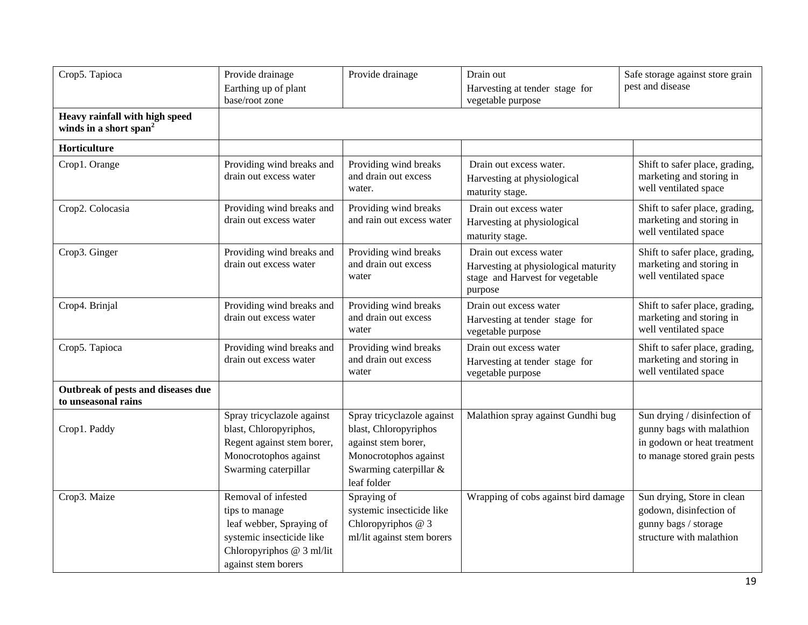| Crop5. Tapioca                                                       | Provide drainage<br>Earthing up of plant<br>base/root zone                                                                                         | Provide drainage                                                                                                                             | Drain out<br>Harvesting at tender stage for<br>vegetable purpose                                             | Safe storage against store grain<br>pest and disease                                                                     |
|----------------------------------------------------------------------|----------------------------------------------------------------------------------------------------------------------------------------------------|----------------------------------------------------------------------------------------------------------------------------------------------|--------------------------------------------------------------------------------------------------------------|--------------------------------------------------------------------------------------------------------------------------|
| Heavy rainfall with high speed<br>winds in a short span <sup>2</sup> |                                                                                                                                                    |                                                                                                                                              |                                                                                                              |                                                                                                                          |
| Horticulture                                                         |                                                                                                                                                    |                                                                                                                                              |                                                                                                              |                                                                                                                          |
| Crop1. Orange                                                        | Providing wind breaks and<br>drain out excess water                                                                                                | Providing wind breaks<br>and drain out excess<br>water.                                                                                      | Drain out excess water.<br>Harvesting at physiological<br>maturity stage.                                    | Shift to safer place, grading,<br>marketing and storing in<br>well ventilated space                                      |
| Crop2. Colocasia                                                     | Providing wind breaks and<br>drain out excess water                                                                                                | Providing wind breaks<br>and rain out excess water                                                                                           | Drain out excess water<br>Harvesting at physiological<br>maturity stage.                                     | Shift to safer place, grading,<br>marketing and storing in<br>well ventilated space                                      |
| Crop3. Ginger                                                        | Providing wind breaks and<br>drain out excess water                                                                                                | Providing wind breaks<br>and drain out excess<br>water                                                                                       | Drain out excess water<br>Harvesting at physiological maturity<br>stage and Harvest for vegetable<br>purpose | Shift to safer place, grading,<br>marketing and storing in<br>well ventilated space                                      |
| Crop4. Brinjal                                                       | Providing wind breaks and<br>drain out excess water                                                                                                | Providing wind breaks<br>and drain out excess<br>water                                                                                       | Drain out excess water<br>Harvesting at tender stage for<br>vegetable purpose                                | Shift to safer place, grading,<br>marketing and storing in<br>well ventilated space                                      |
| Crop5. Tapioca                                                       | Providing wind breaks and<br>drain out excess water                                                                                                | Providing wind breaks<br>and drain out excess<br>water                                                                                       | Drain out excess water<br>Harvesting at tender stage for<br>vegetable purpose                                | Shift to safer place, grading,<br>marketing and storing in<br>well ventilated space                                      |
| Outbreak of pests and diseases due<br>to unseasonal rains            |                                                                                                                                                    |                                                                                                                                              |                                                                                                              |                                                                                                                          |
| Crop1. Paddy                                                         | Spray tricyclazole against<br>blast, Chloropyriphos,<br>Regent against stem borer,<br>Monocrotophos against<br>Swarming caterpillar                | Spray tricyclazole against<br>blast, Chloropyriphos<br>against stem borer,<br>Monocrotophos against<br>Swarming caterpillar &<br>leaf folder | Malathion spray against Gundhi bug                                                                           | Sun drying / disinfection of<br>gunny bags with malathion<br>in godown or heat treatment<br>to manage stored grain pests |
| Crop3. Maize                                                         | Removal of infested<br>tips to manage<br>leaf webber, Spraying of<br>systemic insecticide like<br>Chloropyriphos @ 3 ml/lit<br>against stem borers | Spraying of<br>systemic insecticide like<br>Chloropyriphos @ 3<br>ml/lit against stem borers                                                 | Wrapping of cobs against bird damage                                                                         | Sun drying, Store in clean<br>godown, disinfection of<br>gunny bags / storage<br>structure with malathion                |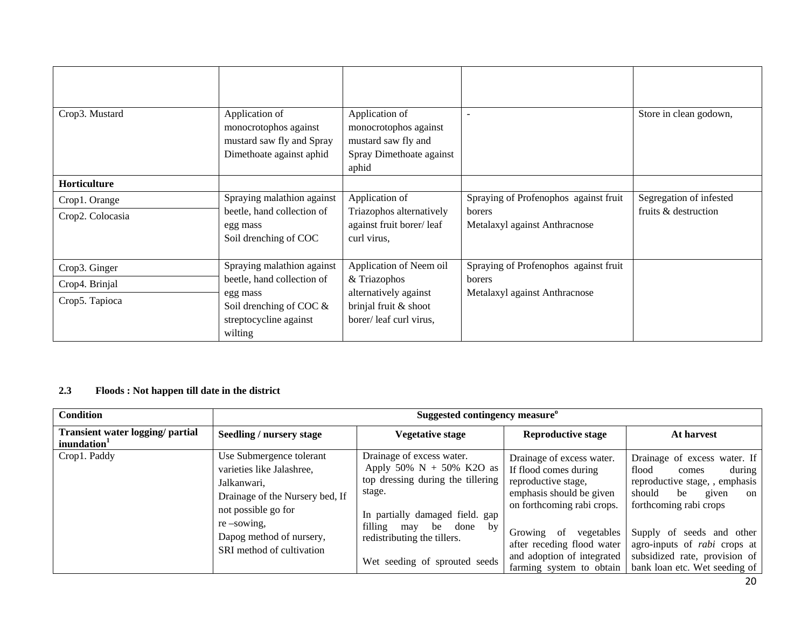| Crop3. Mustard                                    | Application of<br>monocrotophos against<br>mustard saw fly and Spray<br>Dimethoate against aphid                                        | Application of<br>monocrotophos against<br>mustard saw fly and<br>Spray Dimethoate against<br>aphid                 |                                                                                  | Store in clean godown,                          |
|---------------------------------------------------|-----------------------------------------------------------------------------------------------------------------------------------------|---------------------------------------------------------------------------------------------------------------------|----------------------------------------------------------------------------------|-------------------------------------------------|
| Horticulture                                      |                                                                                                                                         |                                                                                                                     |                                                                                  |                                                 |
| Crop1. Orange<br>Crop2. Colocasia                 | Spraying malathion against<br>beetle, hand collection of<br>egg mass<br>Soil drenching of COC                                           | Application of<br>Triazophos alternatively<br>against fruit borer/leaf<br>curl virus,                               | Spraying of Profenophos against fruit<br>borers<br>Metalaxyl against Anthracnose | Segregation of infested<br>fruits & destruction |
| Crop3. Ginger<br>Crop4. Brinjal<br>Crop5. Tapioca | Spraying malathion against<br>beetle, hand collection of<br>egg mass<br>Soil drenching of COC $\&$<br>streptocycline against<br>wilting | Application of Neem oil<br>& Triazophos<br>alternatively against<br>brinjal fruit & shoot<br>borer/leaf curl virus, | Spraying of Profenophos against fruit<br>borers<br>Metalaxyl against Anthracnose |                                                 |

# **2.3 Floods : Not happen till date in the district**

| <b>Condition</b>                                                   |                                                                                                                                                                                                          | Suggested contingency measure <sup>o</sup>                                                                                                                                                                                                   |                                                                                                                                     |                                                                                                                                                     |  |
|--------------------------------------------------------------------|----------------------------------------------------------------------------------------------------------------------------------------------------------------------------------------------------------|----------------------------------------------------------------------------------------------------------------------------------------------------------------------------------------------------------------------------------------------|-------------------------------------------------------------------------------------------------------------------------------------|-----------------------------------------------------------------------------------------------------------------------------------------------------|--|
| <b>Transient water logging/ partial</b><br>inundation <sup>1</sup> | Seedling / nursery stage                                                                                                                                                                                 | <b>Vegetative stage</b>                                                                                                                                                                                                                      | <b>Reproductive stage</b>                                                                                                           | At harvest                                                                                                                                          |  |
| Crop1. Paddy                                                       | Use Submergence tolerant<br>varieties like Jalashree,<br>Jalkanwari,<br>Drainage of the Nursery bed, If<br>not possible go for<br>$re$ -sowing.<br>Dapog method of nursery,<br>SRI method of cultivation | Drainage of excess water.<br>Apply 50% $N + 50%$ K2O as<br>top dressing during the tillering<br>stage.<br>In partially damaged field. gap<br>filling<br>be done<br>by<br>may<br>redistributing the tillers.<br>Wet seeding of sprouted seeds | Drainage of excess water.<br>If flood comes during<br>reproductive stage,<br>emphasis should be given<br>on forthcoming rabi crops. | Drainage of excess water. If<br>during<br>flood<br>comes<br>reproductive stage, , emphasis<br>should<br>be<br>given<br>on<br>forthcoming rabi crops |  |
|                                                                    |                                                                                                                                                                                                          |                                                                                                                                                                                                                                              | vegetables<br>Growing<br>-of<br>after receding flood water<br>and adoption of integrated<br>farming system to obtain                | Supply of seeds and other<br>agro-inputs of <i>rabi</i> crops at<br>subsidized rate, provision of<br>bank loan etc. Wet seeding of                  |  |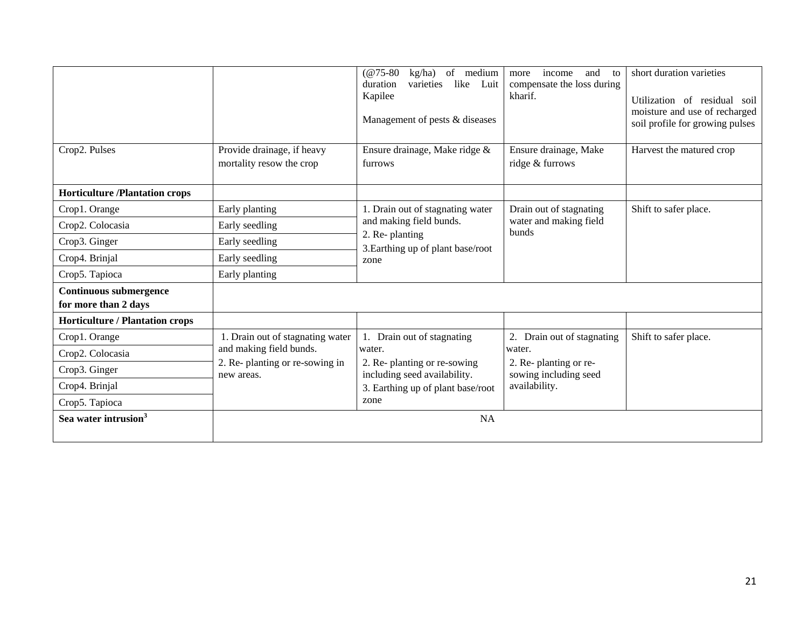|                                                       |                                                        | $(@75-80)$<br>kg/ha) of medium<br>like<br>varieties<br>duration<br>Luit<br>Kapilee<br>Management of pests & diseases | income<br>and<br>more<br>to<br>compensate the loss during<br>kharif. | short duration varieties<br>Utilization of residual soil<br>moisture and use of recharged<br>soil profile for growing pulses |
|-------------------------------------------------------|--------------------------------------------------------|----------------------------------------------------------------------------------------------------------------------|----------------------------------------------------------------------|------------------------------------------------------------------------------------------------------------------------------|
| Crop2. Pulses                                         | Provide drainage, if heavy<br>mortality resow the crop | Ensure drainage, Make ridge &<br>furrows                                                                             | Ensure drainage, Make<br>ridge & furrows                             | Harvest the matured crop                                                                                                     |
| <b>Horticulture /Plantation crops</b>                 |                                                        |                                                                                                                      |                                                                      |                                                                                                                              |
| Crop1. Orange                                         | Early planting                                         | 1. Drain out of stagnating water                                                                                     | Drain out of stagnating                                              | Shift to safer place.                                                                                                        |
| Crop2. Colocasia                                      | Early seedling                                         | and making field bunds.                                                                                              | water and making field<br><b>bunds</b>                               |                                                                                                                              |
| Crop3. Ginger                                         | Early seedling                                         | 2. Re-planting<br>3. Earthing up of plant base/root                                                                  |                                                                      |                                                                                                                              |
| Crop4. Brinjal                                        | Early seedling                                         | zone                                                                                                                 |                                                                      |                                                                                                                              |
| Crop5. Tapioca                                        | Early planting                                         |                                                                                                                      |                                                                      |                                                                                                                              |
| <b>Continuous submergence</b><br>for more than 2 days |                                                        |                                                                                                                      |                                                                      |                                                                                                                              |
| <b>Horticulture / Plantation crops</b>                |                                                        |                                                                                                                      |                                                                      |                                                                                                                              |
| Crop1. Orange                                         | 1. Drain out of stagnating water                       | 1. Drain out of stagnating                                                                                           | 2. Drain out of stagnating                                           | Shift to safer place.                                                                                                        |
| Crop2. Colocasia                                      | and making field bunds.                                | water.                                                                                                               | water.                                                               |                                                                                                                              |
| Crop3. Ginger                                         | 2. Re-planting or re-sowing in<br>new areas.           | 2. Re-planting or re-sowing<br>including seed availability.                                                          | 2. Re-planting or re-<br>sowing including seed                       |                                                                                                                              |
| Crop4. Brinjal                                        |                                                        | 3. Earthing up of plant base/root                                                                                    | availability.                                                        |                                                                                                                              |
| Crop5. Tapioca                                        |                                                        | zone                                                                                                                 |                                                                      |                                                                                                                              |
| Sea water intrusion <sup>3</sup>                      |                                                        | <b>NA</b>                                                                                                            |                                                                      |                                                                                                                              |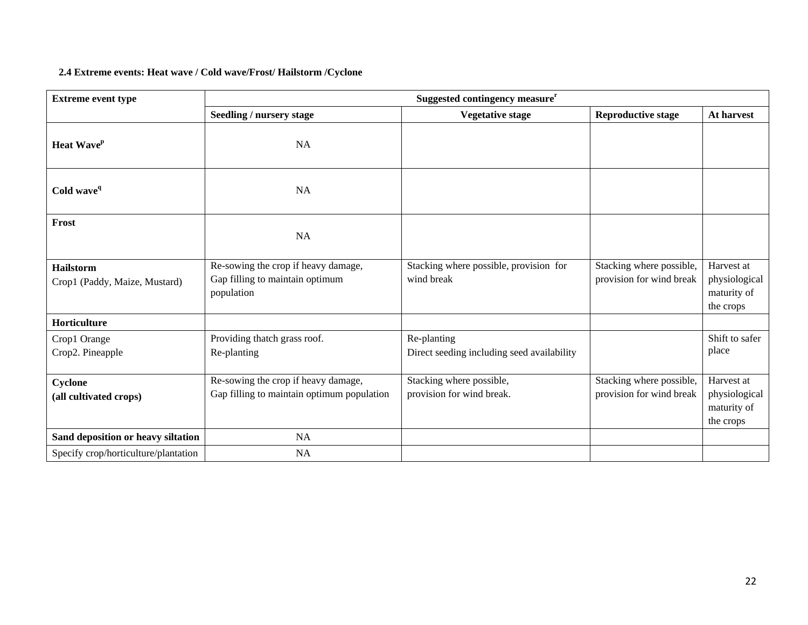## **2.4 Extreme events: Heat wave / Cold wave/Frost/ Hailstorm /Cyclone**

| <b>Extreme event type</b>                         | Suggested contingency measure <sup>r</sup>                                           |                                                           |                                                      |                                                         |  |  |  |
|---------------------------------------------------|--------------------------------------------------------------------------------------|-----------------------------------------------------------|------------------------------------------------------|---------------------------------------------------------|--|--|--|
|                                                   | <b>Seedling / nursery stage</b>                                                      | <b>Vegetative stage</b>                                   | <b>Reproductive stage</b>                            | At harvest                                              |  |  |  |
| Heat Wave <sup>p</sup>                            | <b>NA</b>                                                                            |                                                           |                                                      |                                                         |  |  |  |
| Cold wave <sup>q</sup>                            | <b>NA</b>                                                                            |                                                           |                                                      |                                                         |  |  |  |
| Frost                                             | <b>NA</b>                                                                            |                                                           |                                                      |                                                         |  |  |  |
| <b>Hailstorm</b><br>Crop1 (Paddy, Maize, Mustard) | Re-sowing the crop if heavy damage,<br>Gap filling to maintain optimum<br>population | Stacking where possible, provision for<br>wind break      | Stacking where possible,<br>provision for wind break | Harvest at<br>physiological<br>maturity of<br>the crops |  |  |  |
| Horticulture                                      |                                                                                      |                                                           |                                                      |                                                         |  |  |  |
| Crop1 Orange<br>Crop2. Pineapple                  | Providing thatch grass roof.<br>Re-planting                                          | Re-planting<br>Direct seeding including seed availability |                                                      | Shift to safer<br>place                                 |  |  |  |
| Cyclone<br>(all cultivated crops)                 | Re-sowing the crop if heavy damage,<br>Gap filling to maintain optimum population    | Stacking where possible,<br>provision for wind break.     | Stacking where possible,<br>provision for wind break | Harvest at<br>physiological<br>maturity of<br>the crops |  |  |  |
| Sand deposition or heavy siltation                | NA                                                                                   |                                                           |                                                      |                                                         |  |  |  |
| Specify crop/horticulture/plantation              | NA                                                                                   |                                                           |                                                      |                                                         |  |  |  |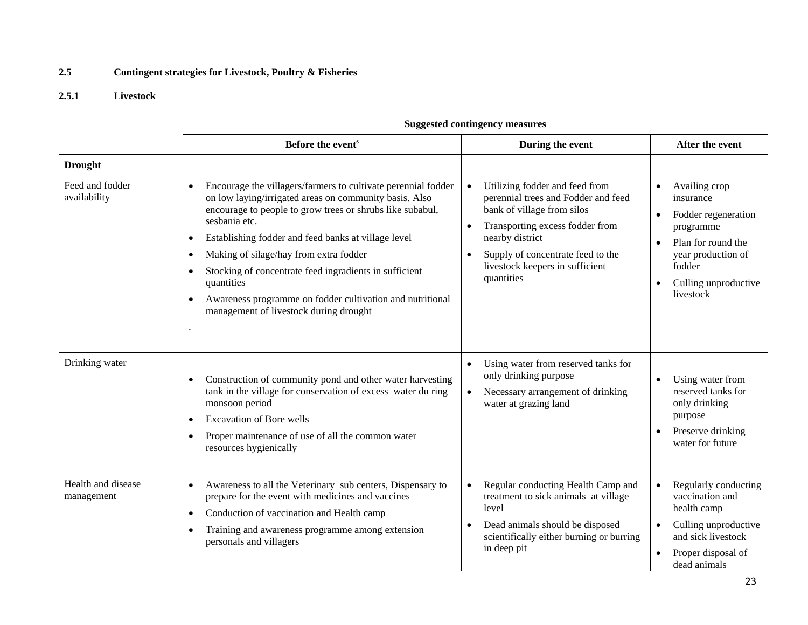# **2.5 Contingent strategies for Livestock, Poultry & Fisheries**

# **2.5.1 Livestock**

|                                  | <b>Suggested contingency measures</b>                                                                                                                                                                                                                                                                                                                                                                                                                                                                                |                                                                                                                                                                                                                                                                           |                                                                                                                                                                                                  |  |
|----------------------------------|----------------------------------------------------------------------------------------------------------------------------------------------------------------------------------------------------------------------------------------------------------------------------------------------------------------------------------------------------------------------------------------------------------------------------------------------------------------------------------------------------------------------|---------------------------------------------------------------------------------------------------------------------------------------------------------------------------------------------------------------------------------------------------------------------------|--------------------------------------------------------------------------------------------------------------------------------------------------------------------------------------------------|--|
|                                  | Before the event <sup>s</sup>                                                                                                                                                                                                                                                                                                                                                                                                                                                                                        | During the event                                                                                                                                                                                                                                                          | After the event                                                                                                                                                                                  |  |
| <b>Drought</b>                   |                                                                                                                                                                                                                                                                                                                                                                                                                                                                                                                      |                                                                                                                                                                                                                                                                           |                                                                                                                                                                                                  |  |
| Feed and fodder<br>availability  | Encourage the villagers/farmers to cultivate perennial fodder<br>$\bullet$<br>on low laying/irrigated areas on community basis. Also<br>encourage to people to grow trees or shrubs like subabul,<br>sesbania etc.<br>Establishing fodder and feed banks at village level<br>٠<br>Making of silage/hay from extra fodder<br>Stocking of concentrate feed ingradients in sufficient<br>quantities<br>Awareness programme on fodder cultivation and nutritional<br>$\bullet$<br>management of livestock during drought | Utilizing fodder and feed from<br>$\bullet$<br>perennial trees and Fodder and feed<br>bank of village from silos<br>Transporting excess fodder from<br>$\bullet$<br>nearby district<br>Supply of concentrate feed to the<br>livestock keepers in sufficient<br>quantities | Availing crop<br>$\bullet$<br>insurance<br>Fodder regeneration<br>$\bullet$<br>programme<br>Plan for round the<br>year production of<br>fodder<br>Culling unproductive<br>$\bullet$<br>livestock |  |
| Drinking water                   | Construction of community pond and other water harvesting<br>$\bullet$<br>tank in the village for conservation of excess water du ring<br>monsoon period<br><b>Excavation of Bore wells</b><br>$\bullet$<br>Proper maintenance of use of all the common water<br>$\bullet$<br>resources hygienically                                                                                                                                                                                                                 | Using water from reserved tanks for<br>only drinking purpose<br>Necessary arrangement of drinking<br>$\bullet$<br>water at grazing land                                                                                                                                   | Using water from<br>$\bullet$<br>reserved tanks for<br>only drinking<br>purpose<br>Preserve drinking<br>$\bullet$<br>water for future                                                            |  |
| Health and disease<br>management | Awareness to all the Veterinary sub centers, Dispensary to<br>$\bullet$<br>prepare for the event with medicines and vaccines<br>Conduction of vaccination and Health camp<br>$\bullet$<br>Training and awareness programme among extension<br>$\bullet$<br>personals and villagers                                                                                                                                                                                                                                   | Regular conducting Health Camp and<br>treatment to sick animals at village<br>level<br>Dead animals should be disposed<br>scientifically either burning or burring<br>in deep pit                                                                                         | Regularly conducting<br>vaccination and<br>health camp<br>Culling unproductive<br>and sick livestock<br>Proper disposal of<br>dead animals                                                       |  |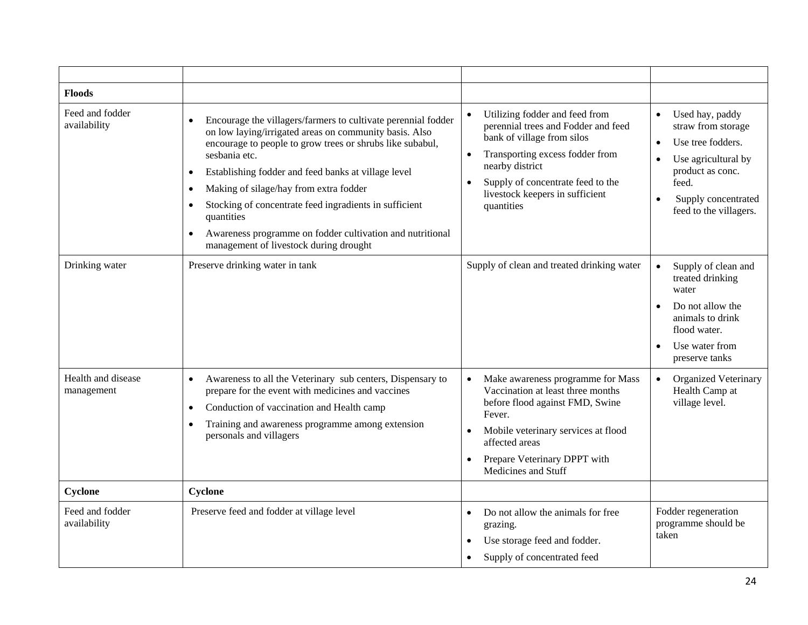| <b>Floods</b>                    |                                                                                                                                                                                                                                                                                                                                                                                                                                                                                       |                                                                                                                                                                                                                                                 |                                                                                                                                                                                           |
|----------------------------------|---------------------------------------------------------------------------------------------------------------------------------------------------------------------------------------------------------------------------------------------------------------------------------------------------------------------------------------------------------------------------------------------------------------------------------------------------------------------------------------|-------------------------------------------------------------------------------------------------------------------------------------------------------------------------------------------------------------------------------------------------|-------------------------------------------------------------------------------------------------------------------------------------------------------------------------------------------|
| Feed and fodder<br>availability  | Encourage the villagers/farmers to cultivate perennial fodder<br>on low laying/irrigated areas on community basis. Also<br>encourage to people to grow trees or shrubs like subabul,<br>sesbania etc.<br>Establishing fodder and feed banks at village level<br>Making of silage/hay from extra fodder<br>Stocking of concentrate feed ingradients in sufficient<br>quantities<br>Awareness programme on fodder cultivation and nutritional<br>management of livestock during drought | Utilizing fodder and feed from<br>perennial trees and Fodder and feed<br>bank of village from silos<br>Transporting excess fodder from<br>nearby district<br>Supply of concentrate feed to the<br>livestock keepers in sufficient<br>quantities | Used hay, paddy<br>straw from storage<br>Use tree fodders.<br>$\bullet$<br>Use agricultural by<br>$\bullet$<br>product as conc.<br>feed.<br>Supply concentrated<br>feed to the villagers. |
| Drinking water                   | Preserve drinking water in tank                                                                                                                                                                                                                                                                                                                                                                                                                                                       | Supply of clean and treated drinking water                                                                                                                                                                                                      | Supply of clean and<br>$\bullet$<br>treated drinking<br>water<br>Do not allow the<br>animals to drink<br>flood water.<br>Use water from<br>preserve tanks                                 |
| Health and disease<br>management | Awareness to all the Veterinary sub centers, Dispensary to<br>prepare for the event with medicines and vaccines<br>Conduction of vaccination and Health camp<br>Training and awareness programme among extension<br>personals and villagers                                                                                                                                                                                                                                           | Make awareness programme for Mass<br>Vaccination at least three months<br>before flood against FMD, Swine<br>Fever.<br>Mobile veterinary services at flood<br>affected areas<br>Prepare Veterinary DPPT with<br>Medicines and Stuff             | Organized Veterinary<br>$\bullet$<br>Health Camp at<br>village level.                                                                                                                     |
| Cyclone                          | Cyclone                                                                                                                                                                                                                                                                                                                                                                                                                                                                               |                                                                                                                                                                                                                                                 |                                                                                                                                                                                           |
| Feed and fodder<br>availability  | Preserve feed and fodder at village level                                                                                                                                                                                                                                                                                                                                                                                                                                             | Do not allow the animals for free<br>grazing.<br>Use storage feed and fodder.<br>Supply of concentrated feed                                                                                                                                    | Fodder regeneration<br>programme should be<br>taken                                                                                                                                       |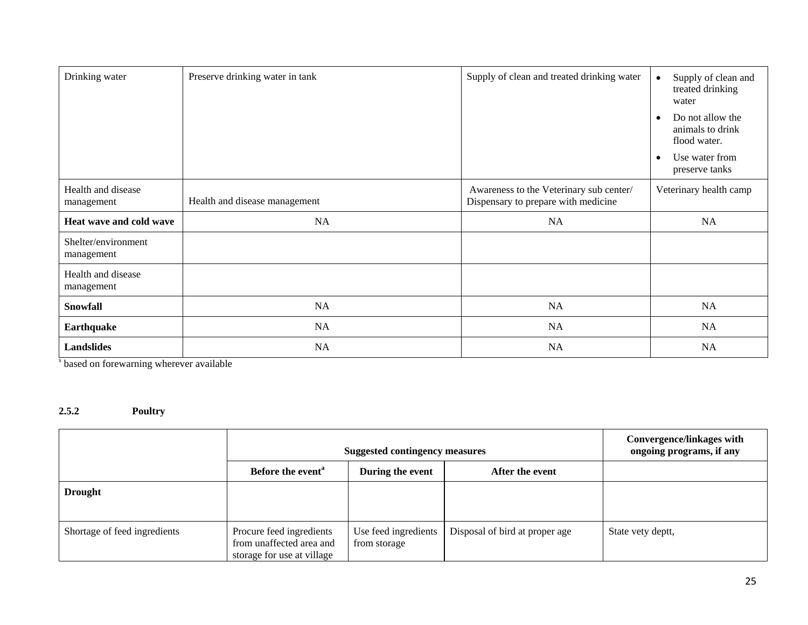| Drinking water                    | Preserve drinking water in tank | Supply of clean and treated drinking water                                     | Supply of clean and<br>treated drinking<br>water     |
|-----------------------------------|---------------------------------|--------------------------------------------------------------------------------|------------------------------------------------------|
|                                   |                                 |                                                                                | Do not allow the<br>animals to drink<br>flood water. |
|                                   |                                 |                                                                                | Use water from<br>preserve tanks                     |
| Health and disease<br>management  | Health and disease management   | Awareness to the Veterinary sub center/<br>Dispensary to prepare with medicine | Veterinary health camp                               |
| Heat wave and cold wave           | NA                              | NA                                                                             | NA                                                   |
| Shelter/environment<br>management |                                 |                                                                                |                                                      |
| Health and disease<br>management  |                                 |                                                                                |                                                      |
| <b>Snowfall</b>                   | NA                              | NA                                                                             | NA                                                   |
| Earthquake                        | NA                              | NA                                                                             | NA                                                   |
| <b>Landslides</b>                 | NA                              | NA                                                                             | <b>NA</b>                                            |

<sup>s</sup> based on forewarning wherever available

# **2.5.2 Poultry**

|                              | <b>Suggested contingency measures</b>                                              |                                      |                                | Convergence/linkages with<br>ongoing programs, if any |
|------------------------------|------------------------------------------------------------------------------------|--------------------------------------|--------------------------------|-------------------------------------------------------|
|                              | Before the event <sup>a</sup>                                                      | During the event                     | After the event                |                                                       |
| <b>Drought</b>               |                                                                                    |                                      |                                |                                                       |
| Shortage of feed ingredients | Procure feed ingredients<br>from unaffected area and<br>storage for use at village | Use feed ingredients<br>from storage | Disposal of bird at proper age | State vety deptt,                                     |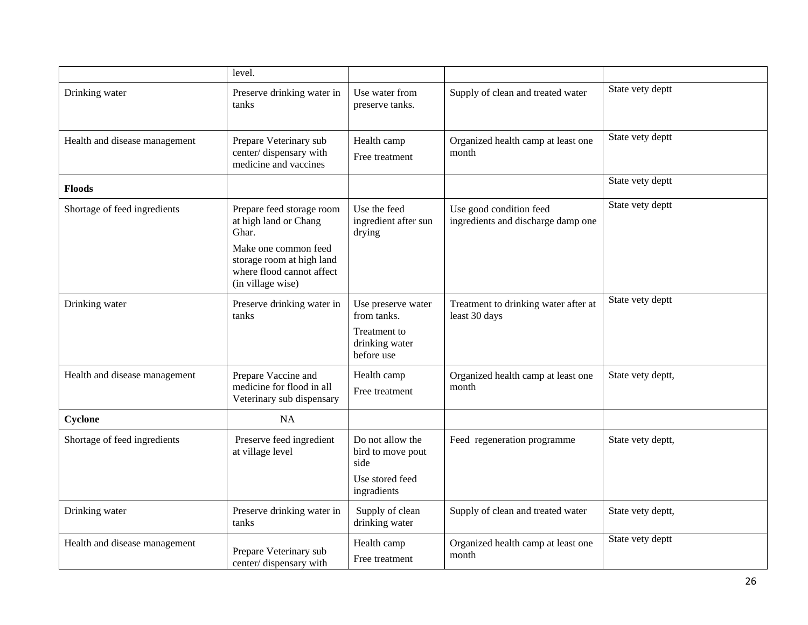|                               | level.                                                                                                                                                             |                                                                                   |                                                               |                   |
|-------------------------------|--------------------------------------------------------------------------------------------------------------------------------------------------------------------|-----------------------------------------------------------------------------------|---------------------------------------------------------------|-------------------|
| Drinking water                | Preserve drinking water in<br>tanks                                                                                                                                | Use water from<br>preserve tanks.                                                 | Supply of clean and treated water                             | State vety deptt  |
| Health and disease management | Prepare Veterinary sub<br>center/dispensary with<br>medicine and vaccines                                                                                          | Health camp<br>Free treatment                                                     | Organized health camp at least one<br>month                   | State vety deptt  |
| Floods                        |                                                                                                                                                                    |                                                                                   |                                                               | State vety deptt  |
| Shortage of feed ingredients  | Prepare feed storage room<br>at high land or Chang<br>Ghar.<br>Make one common feed<br>storage room at high land<br>where flood cannot affect<br>(in village wise) | Use the feed<br>ingredient after sun<br>drying                                    | Use good condition feed<br>ingredients and discharge damp one | State vety deptt  |
| Drinking water                | Preserve drinking water in<br>tanks                                                                                                                                | Use preserve water<br>from tanks.<br>Treatment to<br>drinking water<br>before use | Treatment to drinking water after at<br>least 30 days         | State vety deptt  |
| Health and disease management | Prepare Vaccine and<br>medicine for flood in all<br>Veterinary sub dispensary                                                                                      | Health camp<br>Free treatment                                                     | Organized health camp at least one<br>month                   | State vety deptt, |
| Cyclone                       | <b>NA</b>                                                                                                                                                          |                                                                                   |                                                               |                   |
| Shortage of feed ingredients  | Preserve feed ingredient<br>at village level                                                                                                                       | Do not allow the<br>bird to move pout<br>side<br>Use stored feed<br>ingradients   | Feed regeneration programme                                   | State vety deptt, |
| Drinking water                | Preserve drinking water in<br>tanks                                                                                                                                | Supply of clean<br>drinking water                                                 | Supply of clean and treated water                             | State vety deptt, |
| Health and disease management | Prepare Veterinary sub<br>center/dispensary with                                                                                                                   | Health camp<br>Free treatment                                                     | Organized health camp at least one<br>month                   | State vety deptt  |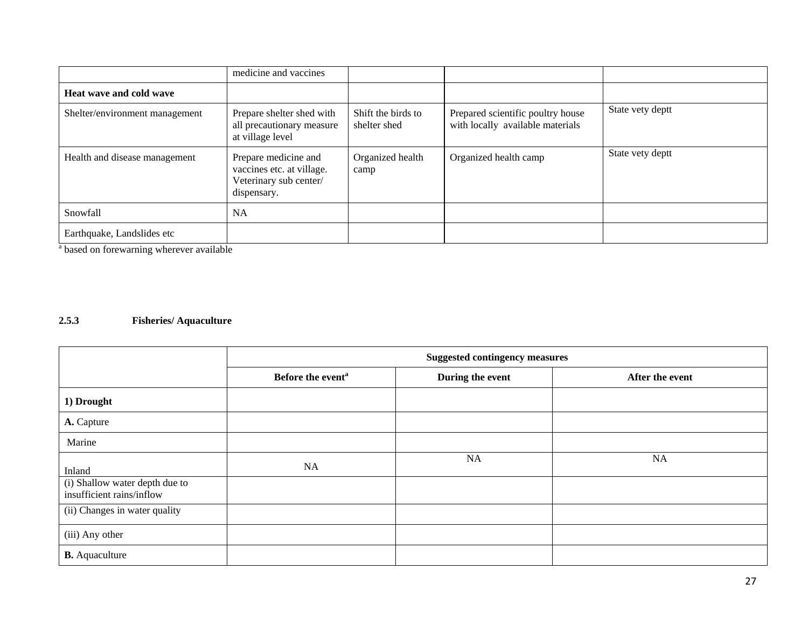|                                | medicine and vaccines                                                                      |                                    |                                                                       |                  |
|--------------------------------|--------------------------------------------------------------------------------------------|------------------------------------|-----------------------------------------------------------------------|------------------|
| Heat wave and cold wave        |                                                                                            |                                    |                                                                       |                  |
| Shelter/environment management | Prepare shelter shed with<br>all precautionary measure<br>at village level                 | Shift the birds to<br>shelter shed | Prepared scientific poultry house<br>with locally available materials | State vety deptt |
| Health and disease management  | Prepare medicine and<br>vaccines etc. at village.<br>Veterinary sub center/<br>dispensary. | Organized health<br>camp           | Organized health camp                                                 | State vety deptt |
| Snowfall                       | <b>NA</b>                                                                                  |                                    |                                                                       |                  |
| Earthquake, Landslides etc     |                                                                                            |                                    |                                                                       |                  |

a based on forewarning wherever available

## **2.5.3 Fisheries/ Aquaculture**

|                                                             | <b>Suggested contingency measures</b> |                  |                 |
|-------------------------------------------------------------|---------------------------------------|------------------|-----------------|
|                                                             | Before the event <sup>a</sup>         | During the event | After the event |
| 1) Drought                                                  |                                       |                  |                 |
| A. Capture                                                  |                                       |                  |                 |
| Marine                                                      |                                       |                  |                 |
| Inland                                                      | NA                                    | NA               | NA              |
| (i) Shallow water depth due to<br>insufficient rains/inflow |                                       |                  |                 |
| (ii) Changes in water quality                               |                                       |                  |                 |
| (iii) Any other                                             |                                       |                  |                 |
| <b>B.</b> Aquaculture                                       |                                       |                  |                 |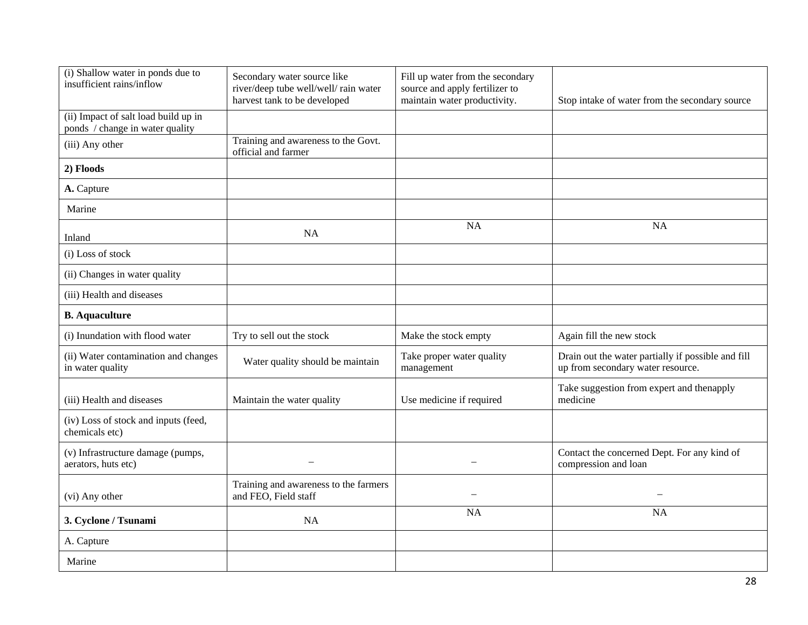| (i) Shallow water in ponds due to<br>insufficient rains/inflow          | Secondary water source like<br>river/deep tube well/well/ rain water<br>harvest tank to be developed | Fill up water from the secondary<br>source and apply fertilizer to<br>maintain water productivity. | Stop intake of water from the secondary source                                          |
|-------------------------------------------------------------------------|------------------------------------------------------------------------------------------------------|----------------------------------------------------------------------------------------------------|-----------------------------------------------------------------------------------------|
| (ii) Impact of salt load build up in<br>ponds / change in water quality |                                                                                                      |                                                                                                    |                                                                                         |
| (iii) Any other                                                         | Training and awareness to the Govt.<br>official and farmer                                           |                                                                                                    |                                                                                         |
| 2) Floods                                                               |                                                                                                      |                                                                                                    |                                                                                         |
| A. Capture                                                              |                                                                                                      |                                                                                                    |                                                                                         |
| Marine                                                                  |                                                                                                      |                                                                                                    |                                                                                         |
| Inland                                                                  | NA                                                                                                   | <b>NA</b>                                                                                          | <b>NA</b>                                                                               |
| (i) Loss of stock                                                       |                                                                                                      |                                                                                                    |                                                                                         |
| (ii) Changes in water quality                                           |                                                                                                      |                                                                                                    |                                                                                         |
| (iii) Health and diseases                                               |                                                                                                      |                                                                                                    |                                                                                         |
| <b>B.</b> Aquaculture                                                   |                                                                                                      |                                                                                                    |                                                                                         |
| (i) Inundation with flood water                                         | Try to sell out the stock                                                                            | Make the stock empty                                                                               | Again fill the new stock                                                                |
| (ii) Water contamination and changes<br>in water quality                | Water quality should be maintain                                                                     | Take proper water quality<br>management                                                            | Drain out the water partially if possible and fill<br>up from secondary water resource. |
| (iii) Health and diseases                                               | Maintain the water quality                                                                           | Use medicine if required                                                                           | Take suggestion from expert and thenapply<br>medicine                                   |
| (iv) Loss of stock and inputs (feed,<br>chemicals etc)                  |                                                                                                      |                                                                                                    |                                                                                         |
| (v) Infrastructure damage (pumps,<br>aerators, huts etc)                |                                                                                                      |                                                                                                    | Contact the concerned Dept. For any kind of<br>compression and loan                     |
| (vi) Any other                                                          | Training and awareness to the farmers<br>and FEO, Field staff                                        |                                                                                                    |                                                                                         |
| 3. Cyclone / Tsunami                                                    | NA                                                                                                   | NA                                                                                                 | <b>NA</b>                                                                               |
| A. Capture                                                              |                                                                                                      |                                                                                                    |                                                                                         |
| Marine                                                                  |                                                                                                      |                                                                                                    |                                                                                         |